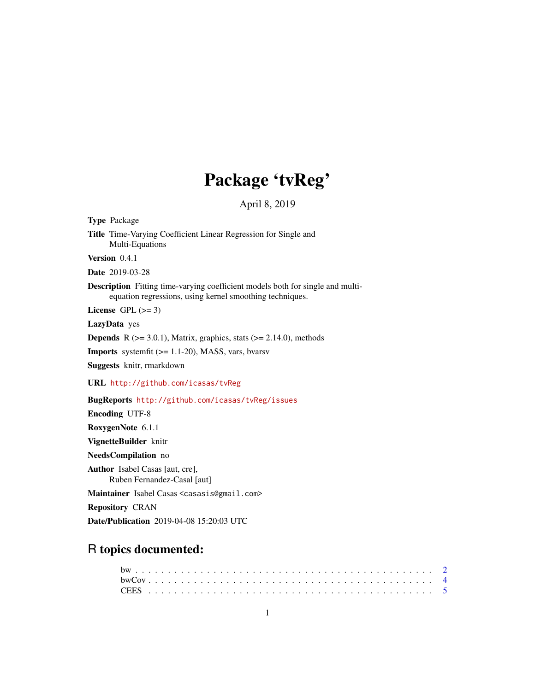# Package 'tvReg'

April 8, 2019

Title Time-Varying Coefficient Linear Regression for Single and Multi-Equations Version 0.4.1 Date 2019-03-28 Description Fitting time-varying coefficient models both for single and multiequation regressions, using kernel smoothing techniques. License GPL  $(>= 3)$ LazyData yes **Depends** R  $(>= 3.0.1)$ , Matrix, graphics, stats  $(>= 2.14.0)$ , methods Imports systemfit (>= 1.1-20), MASS, vars, bvarsv Suggests knitr, rmarkdown URL <http://github.com/icasas/tvReg> BugReports <http://github.com/icasas/tvReg/issues> Encoding UTF-8 RoxygenNote 6.1.1 VignetteBuilder knitr NeedsCompilation no Author Isabel Casas [aut, cre], Ruben Fernandez-Casal [aut] Maintainer Isabel Casas <casasis@gmail.com> Repository CRAN

Date/Publication 2019-04-08 15:20:03 UTC

# R topics documented:

<span id="page-0-0"></span>Type Package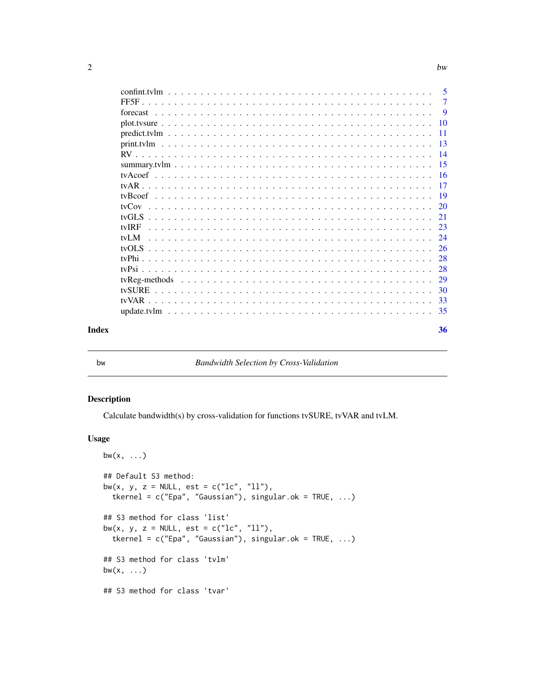<span id="page-1-0"></span>

| -<br>. . | hw |
|----------|----|
|          |    |

|       |  |  |  |  |  |  |  |  |  |  |  |  |  |  | 5   |
|-------|--|--|--|--|--|--|--|--|--|--|--|--|--|--|-----|
|       |  |  |  |  |  |  |  |  |  |  |  |  |  |  | 7   |
|       |  |  |  |  |  |  |  |  |  |  |  |  |  |  | 9   |
|       |  |  |  |  |  |  |  |  |  |  |  |  |  |  | 10  |
|       |  |  |  |  |  |  |  |  |  |  |  |  |  |  | 11  |
|       |  |  |  |  |  |  |  |  |  |  |  |  |  |  | 13  |
|       |  |  |  |  |  |  |  |  |  |  |  |  |  |  | 14  |
|       |  |  |  |  |  |  |  |  |  |  |  |  |  |  | -15 |
|       |  |  |  |  |  |  |  |  |  |  |  |  |  |  | 16  |
| tvAR  |  |  |  |  |  |  |  |  |  |  |  |  |  |  | 17  |
|       |  |  |  |  |  |  |  |  |  |  |  |  |  |  | 19  |
| tyCov |  |  |  |  |  |  |  |  |  |  |  |  |  |  | 20  |
|       |  |  |  |  |  |  |  |  |  |  |  |  |  |  | 21  |
| tvIRF |  |  |  |  |  |  |  |  |  |  |  |  |  |  | 23  |
| tvI M |  |  |  |  |  |  |  |  |  |  |  |  |  |  | 24  |
|       |  |  |  |  |  |  |  |  |  |  |  |  |  |  | 26  |
|       |  |  |  |  |  |  |  |  |  |  |  |  |  |  | 28  |
| tyPsi |  |  |  |  |  |  |  |  |  |  |  |  |  |  | 28  |
|       |  |  |  |  |  |  |  |  |  |  |  |  |  |  | 29  |
|       |  |  |  |  |  |  |  |  |  |  |  |  |  |  | 30  |
| tvVAR |  |  |  |  |  |  |  |  |  |  |  |  |  |  | 33  |
|       |  |  |  |  |  |  |  |  |  |  |  |  |  |  | 35  |
| Index |  |  |  |  |  |  |  |  |  |  |  |  |  |  | 36  |

<span id="page-1-1"></span>

#### bw *Bandwidth Selection by Cross-Validation*

#### Description

Calculate bandwidth(s) by cross-validation for functions tvSURE, tvVAR and tvLM.

#### Usage

```
bw(x, \ldots)## Default S3 method:
bw(x, y, z = NULL, est = c("lc", "ll"),tkernel = c("Epa", "Gaussian"), singular.ok = TRUE, ...)
## S3 method for class 'list'
bw(x, y, z = NULL, est = c("lc", "ll"),tkernel = c("Epa", "Gaussian"), singular.ok = TRUE, ...)
## S3 method for class 'tvlm'
bw(x, \ldots)## S3 method for class 'tvar'
```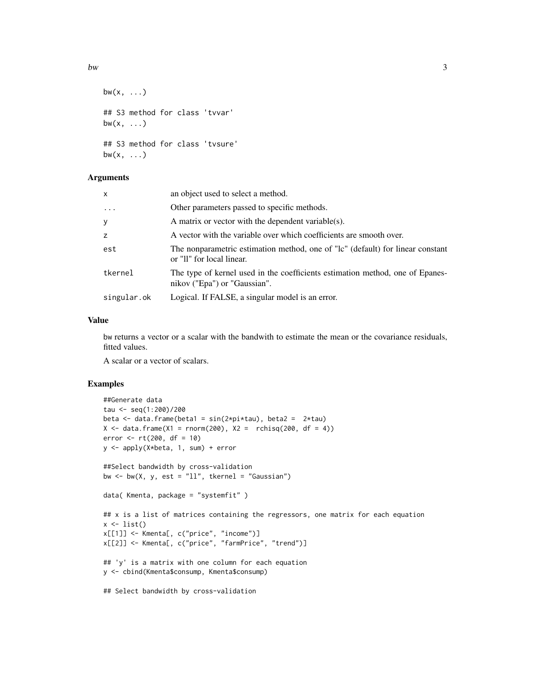```
bw(x, \ldots)## S3 method for class 'tvvar'
bw(x, \ldots)## S3 method for class 'tvsure'
bw(x, \ldots)
```
### Arguments

| x           | an object used to select a method.                                                                            |
|-------------|---------------------------------------------------------------------------------------------------------------|
| $\ddots$ .  | Other parameters passed to specific methods.                                                                  |
| У           | A matrix or vector with the dependent variable(s).                                                            |
| z           | A vector with the variable over which coefficients are smooth over.                                           |
| est         | The nonparametric estimation method, one of "lc" (default) for linear constant<br>or "II" for local linear.   |
| tkernel     | The type of kernel used in the coefficients estimation method, one of Epanes-<br>nikov ("Epa") or "Gaussian". |
| singular.ok | Logical. If FALSE, a singular model is an error.                                                              |

# Value

bw returns a vector or a scalar with the bandwith to estimate the mean or the covariance residuals, fitted values.

A scalar or a vector of scalars.

# Examples

```
##Generate data
tau <- seq(1:200)/200
beta \leq data.frame(beta1 = sin(2*pi*tau), beta2 = 2*tau)
X \le - data.frame(X1 = rnorm(200), X2 = rchisq(200, df = 4))
error < -rt(200, df = 10)y <- apply(X*beta, 1, sum) + error
##Select bandwidth by cross-validation
bw \le bw(X, y, est = "ll", tkernel = "Gaussian")
data( Kmenta, package = "systemfit" )
## x is a list of matrices containing the regressors, one matrix for each equation
x \leftarrow list()
x[[1]] <- Kmenta[, c("price", "income")]
x[[2]] <- Kmenta[, c("price", "farmPrice", "trend")]
## 'y' is a matrix with one column for each equation
y <- cbind(Kmenta$consump, Kmenta$consump)
## Select bandwidth by cross-validation
```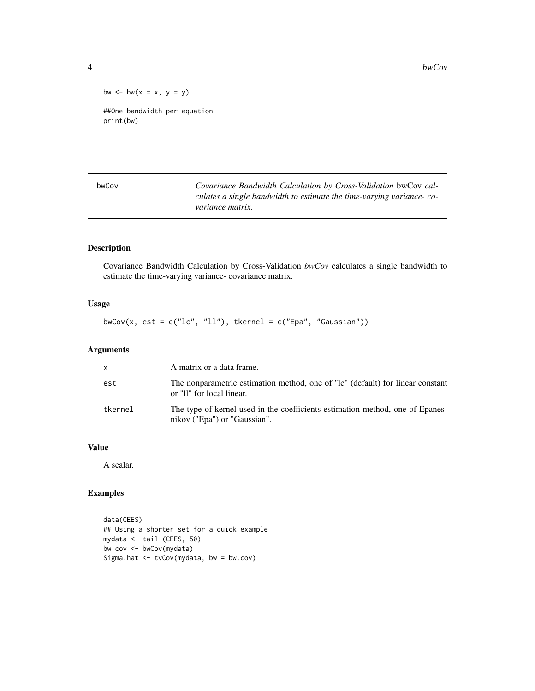4 bwCov bwCov bwCov bwCov bwCov bwCov bwCov bwCov bwCov bwCov bwCov bwCov bwCov bwCov bwCov bwCov bwCov bwCov bwCov bwCov bwCov bwCov bwCov bwCov bwCov bwCov bwCov bwCov bwCov bwCov bwCov bwCov bwCov bwCov bwCov bwCov bwCo

bw  $\le -$  bw $(x = x, y = y)$ ##One bandwidth per equation print(bw)

<span id="page-3-1"></span>bwCov *Covariance Bandwidth Calculation by Cross-Validation* bwCov *calculates a single bandwidth to estimate the time-varying variance- covariance matrix.*

# Description

Covariance Bandwidth Calculation by Cross-Validation *bwCov* calculates a single bandwidth to estimate the time-varying variance- covariance matrix.

# Usage

bwCov(x, est =  $c("lc", "ll"),$  tkernel =  $c("Epa", "Gaussian"))$ 

# Arguments

| $\mathsf{x}$ | A matrix or a data frame.                                                                                     |
|--------------|---------------------------------------------------------------------------------------------------------------|
| est          | The nonparametric estimation method, one of "lc" (default) for linear constant<br>or "II" for local linear.   |
| tkernel      | The type of kernel used in the coefficients estimation method, one of Epanes-<br>nikov ("Epa") or "Gaussian". |

#### Value

A scalar.

#### Examples

```
data(CEES)
## Using a shorter set for a quick example
mydata <- tail (CEES, 50)
bw.cov <- bwCov(mydata)
Sigma.hat <- tvCov(mydata, bw = bw.cov)
```
<span id="page-3-0"></span>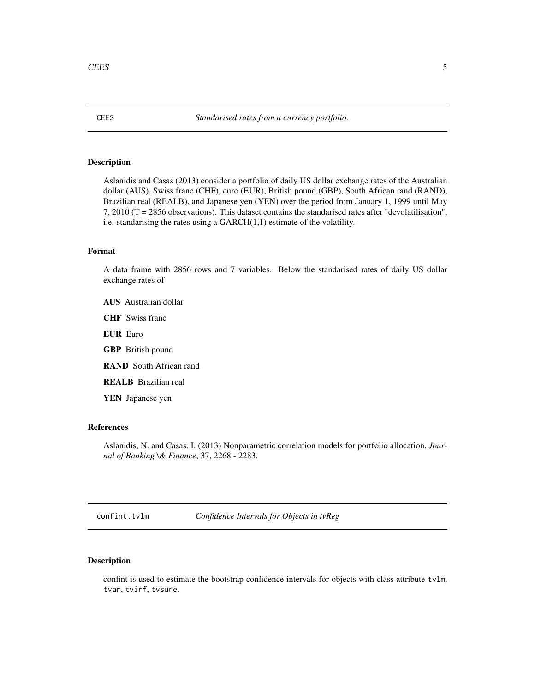# <span id="page-4-0"></span>Description

Aslanidis and Casas (2013) consider a portfolio of daily US dollar exchange rates of the Australian dollar (AUS), Swiss franc (CHF), euro (EUR), British pound (GBP), South African rand (RAND), Brazilian real (REALB), and Japanese yen (YEN) over the period from January 1, 1999 until May 7, 2010 (T = 2856 observations). This dataset contains the standarised rates after "devolatilisation", i.e. standarising the rates using a GARCH(1,1) estimate of the volatility.

# Format

A data frame with 2856 rows and 7 variables. Below the standarised rates of daily US dollar exchange rates of

- AUS Australian dollar
- CHF Swiss franc
- EUR Euro
- GBP British pound
- RAND South African rand
- REALB Brazilian real

YEN Japanese yen

# References

Aslanidis, N. and Casas, I. (2013) Nonparametric correlation models for portfolio allocation, *Journal of Banking \& Finance*, 37, 2268 - 2283.

confint.tvlm *Confidence Intervals for Objects in tvReg*

# Description

confint is used to estimate the bootstrap confidence intervals for objects with class attribute tvlm, tvar, tvirf, tvsure.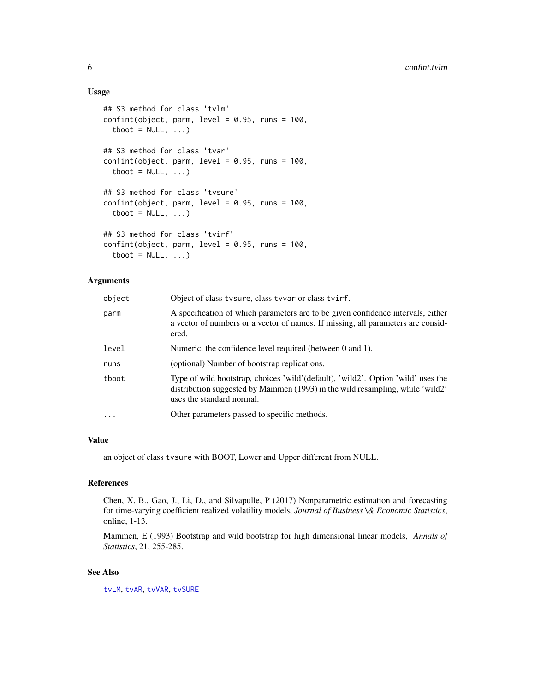#### Usage

```
## S3 method for class 'tvlm'
confint(object, parm, level = 0.95, runs = 100,tboot = NULL, ...## S3 method for class 'tvar'
confint(object, parm, level = 0.95, runs = 100,tboot = NULL, ...## S3 method for class 'tvsure'
confint(object, parm, level = 0.95, runs = 100,tboot = NULL, ...## S3 method for class 'tvirf'
confint(object, parm, level = 0.95, runs = 100,\text{tboot} = \text{NULL}, \ldots
```
### Arguments

| object  | Object of class tvsure, class tvvar or class tvirf.                                                                                                                                            |
|---------|------------------------------------------------------------------------------------------------------------------------------------------------------------------------------------------------|
| parm    | A specification of which parameters are to be given confidence intervals, either<br>a vector of numbers or a vector of names. If missing, all parameters are consid-<br>ered.                  |
| level   | Numeric, the confidence level required (between 0 and 1).                                                                                                                                      |
| runs    | (optional) Number of bootstrap replications.                                                                                                                                                   |
| tboot   | Type of wild bootstrap, choices 'wild'(default), 'wild2'. Option 'wild' uses the<br>distribution suggested by Mammen (1993) in the wild resampling, while 'wild2'<br>uses the standard normal. |
| $\cdot$ | Other parameters passed to specific methods.                                                                                                                                                   |

#### Value

an object of class tvsure with BOOT, Lower and Upper different from NULL.

# References

Chen, X. B., Gao, J., Li, D., and Silvapulle, P (2017) Nonparametric estimation and forecasting for time-varying coefficient realized volatility models, *Journal of Business \& Economic Statistics*, online, 1-13.

Mammen, E (1993) Bootstrap and wild bootstrap for high dimensional linear models, *Annals of Statistics*, 21, 255-285.

# See Also

[tvLM](#page-23-1), [tvAR](#page-16-1), [tvVAR](#page-32-1), [tvSURE](#page-29-1)

<span id="page-5-0"></span>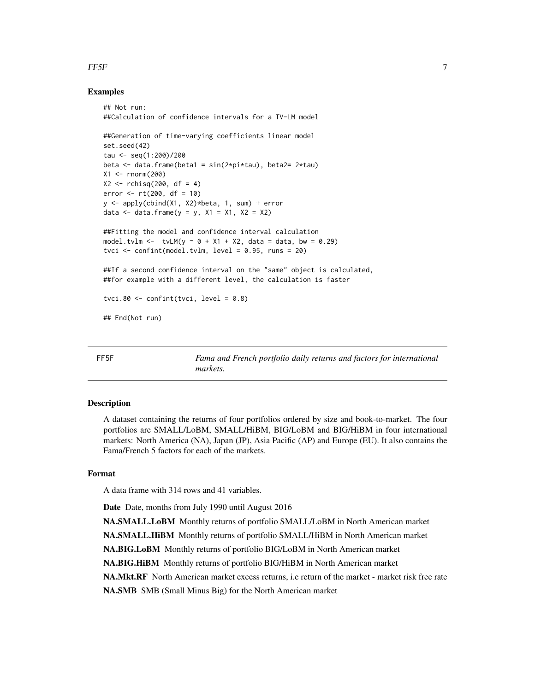#### <span id="page-6-0"></span>FF5F 7 and 2008 7 and 2008 7 and 2008 7 and 2008 7 and 2008 7 and 2008 7 and 2008 7 and 2008 7 and 2008 7 and 2008 7 and 2008 7 and 2008 7 and 2008 7 and 2008 7 and 2008 7 and 2008 7 and 2008 7 and 2008 7 and 2008 7 and 20

### Examples

```
## Not run:
##Calculation of confidence intervals for a TV-LM model
##Generation of time-varying coefficients linear model
set.seed(42)
tau <- seq(1:200)/200
beta \leq data.frame(beta1 = sin(2*pi*tau), beta2= 2*tau)
X1 <- rnorm(200)
X2 \le - rchisq(200, df = 4)
error <- rt(200, df = 10)
y <- apply(cbind(X1, X2)*beta, 1, sum) + error
data <- data.frame(y = y, x1 = x1, x2 = x2)
##Fitting the model and confidence interval calculation
model.tvlm <- tvLM(y \sim 0 + X1 + X2, data = data, bw = 0.29)
tvci \le confint(model.tvlm, level = 0.95, runs = 20)
##If a second confidence interval on the "same" object is calculated,
##for example with a different level, the calculation is faster
tvci.80 \le confint(tvci, level = 0.8)
## End(Not run)
```
FF5F *Fama and French portfolio daily returns and factors for international markets.*

#### Description

A dataset containing the returns of four portfolios ordered by size and book-to-market. The four portfolios are SMALL/LoBM, SMALL/HiBM, BIG/LoBM and BIG/HiBM in four international markets: North America (NA), Japan (JP), Asia Pacific (AP) and Europe (EU). It also contains the Fama/French 5 factors for each of the markets.

### Format

A data frame with 314 rows and 41 variables.

Date Date, months from July 1990 until August 2016

NA.SMALL.LoBM Monthly returns of portfolio SMALL/LoBM in North American market NA.SMALL.HiBM Monthly returns of portfolio SMALL/HiBM in North American market NA.BIG.LoBM Monthly returns of portfolio BIG/LoBM in North American market NA.BIG.HiBM Monthly returns of portfolio BIG/HiBM in North American market NA.Mkt.RF North American market excess returns, i.e return of the market - market risk free rate NA.SMB SMB (Small Minus Big) for the North American market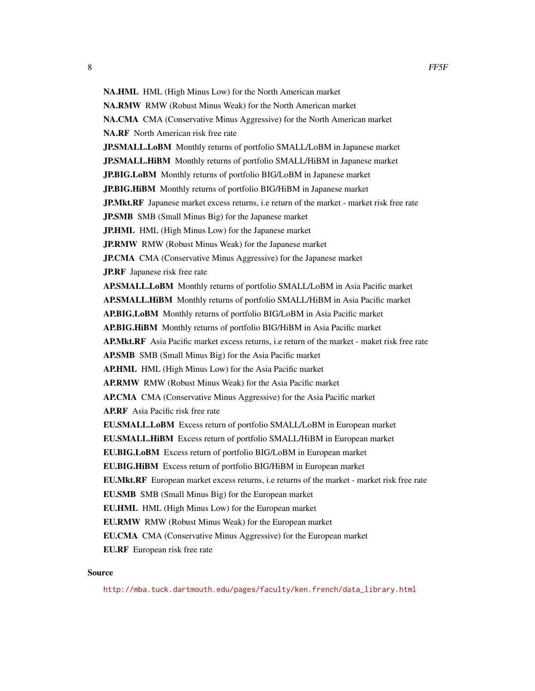NA.HML HML (High Minus Low) for the North American market NA.RMW RMW (Robust Minus Weak) for the North American market NA.CMA CMA (Conservative Minus Aggressive) for the North American market NA.RF North American risk free rate JP.SMALL.LoBM Monthly returns of portfolio SMALL/LoBM in Japanese market **JP.SMALL.HiBM** Monthly returns of portfolio SMALL/HiBM in Japanese market JP.BIG.LoBM Monthly returns of portfolio BIG/LoBM in Japanese market JP.BIG.HiBM Monthly returns of portfolio BIG/HiBM in Japanese market **JP.Mkt.RF** Japanese market excess returns, i.e return of the market - market risk free rate JP.SMB SMB (Small Minus Big) for the Japanese market JP.HML HML (High Minus Low) for the Japanese market JP.RMW RMW (Robust Minus Weak) for the Japanese market JP.CMA CMA (Conservative Minus Aggressive) for the Japanese market JP.RF Japanese risk free rate AP.SMALL.LoBM Monthly returns of portfolio SMALL/LoBM in Asia Pacific market AP.SMALL.HiBM Monthly returns of portfolio SMALL/HiBM in Asia Pacific market AP.BIG.LoBM Monthly returns of portfolio BIG/LoBM in Asia Pacific market AP.BIG.HiBM Monthly returns of portfolio BIG/HiBM in Asia Pacific market AP.Mkt.RF Asia Pacific market excess returns, i.e return of the market - maket risk free rate AP.SMB SMB (Small Minus Big) for the Asia Pacific market AP.HML HML (High Minus Low) for the Asia Pacific market AP.RMW RMW (Robust Minus Weak) for the Asia Pacific market AP.CMA CMA (Conservative Minus Aggressive) for the Asia Pacific market AP.RF Asia Pacific risk free rate EU.SMALL.LoBM Excess return of portfolio SMALL/LoBM in European market EU.SMALL.HiBM Excess return of portfolio SMALL/HiBM in European market EU.BIG.LoBM Excess return of portfolio BIG/LoBM in European market EU.BIG.HiBM Excess return of portfolio BIG/HiBM in European market EU.Mkt.RF European market excess returns, i.e returns of the market - market risk free rate EU.SMB SMB (Small Minus Big) for the European market EU.HML HML (High Minus Low) for the European market EU.RMW RMW (Robust Minus Weak) for the European market EU.CMA CMA (Conservative Minus Aggressive) for the European market EU.RF European risk free rate

#### Source

[http://mba.tuck.dartmouth.edu/pages/faculty/ken.french/data\\_library.html](http://mba.tuck.dartmouth.edu/pages/faculty/ken.french/data_library.html)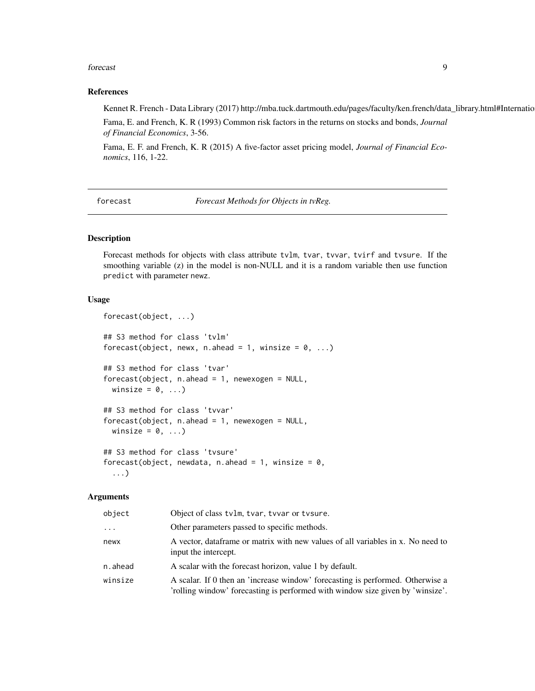#### <span id="page-8-0"></span>forecast 9

#### References

Kennet R. French - Data Library (2017) http://mba.tuck.dartmouth.edu/pages/faculty/ken.french/data\_library.html#Internatio Fama, E. and French, K. R (1993) Common risk factors in the returns on stocks and bonds, *Journal of Financial Economics*, 3-56.

Fama, E. F. and French, K. R (2015) A five-factor asset pricing model, *Journal of Financial Economics*, 116, 1-22.

<span id="page-8-1"></span>forecast *Forecast Methods for Objects in tvReg.*

# Description

Forecast methods for objects with class attribute tvlm, tvar, tvvar, tvirf and tvsure. If the smoothing variable (z) in the model is non-NULL and it is a random variable then use function predict with parameter newz.

#### Usage

```
forecast(object, ...)
## S3 method for class 'tvlm'
forecast(object, newx, n.ahead = 1, winsize = 0, ...)
## S3 method for class 'tvar'
forecast(object, n.ahead = 1, newexogen = NULL,
 winsize = 0, \ldots)
## S3 method for class 'tvvar'
forecast(object, n. ahead = 1, newexogen = NULL,winsize = 0, ...)
## S3 method for class 'tvsure'
forecast(object, newdata, n.ahead = 1, winsize = 0,
  ...)
```
#### **Arguments**

| object   | Object of class tvlm, tvar, tvvar or tvsure.                                                                                                                     |
|----------|------------------------------------------------------------------------------------------------------------------------------------------------------------------|
| $\cdots$ | Other parameters passed to specific methods.                                                                                                                     |
| newx     | A vector, dataframe or matrix with new values of all variables in x. No need to<br>input the intercept.                                                          |
| n.ahead  | A scalar with the forecast horizon, value 1 by default.                                                                                                          |
| winsize  | A scalar. If 0 then an 'increase window' forecasting is performed. Otherwise a<br>'rolling window' forecasting is performed with window size given by 'winsize'. |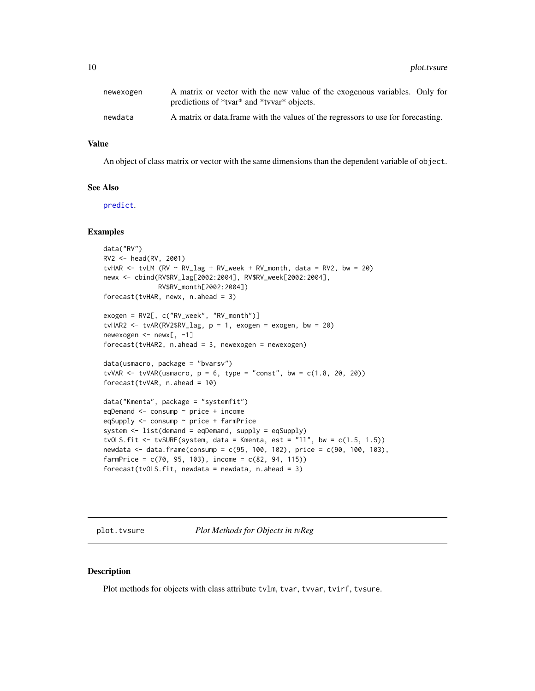<span id="page-9-0"></span>

| newexogen | A matrix or vector with the new value of the exogenous variables. Only for<br>predictions of *tvar* and *tvvar* objects. |
|-----------|--------------------------------------------------------------------------------------------------------------------------|
| newdata   | A matrix or data frame with the values of the regressors to use for forecasting.                                         |

#### Value

An object of class matrix or vector with the same dimensions than the dependent variable of object.

# See Also

[predict](#page-0-0).

#### Examples

```
data("RV")
RV2 <- head(RV, 2001)
tvHAR <- tvLM (RV \sim RV\_lag + RV\_week + RV\_month, data = RV2, bw = 20)newx <- cbind(RV$RV_lag[2002:2004], RV$RV_week[2002:2004],
              RV$RV_month[2002:2004])
forecast(tvHAR, newx, n.ahead = 3)
exogen = RV2[, c("RV_week", "RV_month")]
tvHAR2 <- tvAR(RV2$RV_lag, p = 1, exogen = exogen, bw = 20)
newexogen <- newx[, -1]
forecast(tvHAR2, n. ahead = 3, newexogen = newexogen)data(usmacro, package = "bvarsv")
tvVAR \leq tvVAR(usmacro, p = 6, type = "const", bw = c(1.8, 20, 20))
forecast(tvVAR, n.ahead = 10)
data("Kmenta", package = "systemfit")
eqDemand <- consump ~ price + income
eqSupply <- consump ~ price + farmPrice
system <- list(demand = eqDemand, supply = eqSupply)
tvOLS.fit <- tvSURE(system, data = Kmenta, est = "11", bw = c(1.5, 1.5))newdata <- data.frame(consump = c(95, 100, 102), price = c(90, 100, 103),
farmPrice = c(70, 95, 103), income = c(82, 94, 115))
forecast(tvOLS.fit, newdata = newdata, n. ahead = 3)
```
<span id="page-9-2"></span>plot.tvsure *Plot Methods for Objects in tvReg*

# <span id="page-9-1"></span>Description

Plot methods for objects with class attribute tvlm, tvar, tvvar, tvirf, tvsure.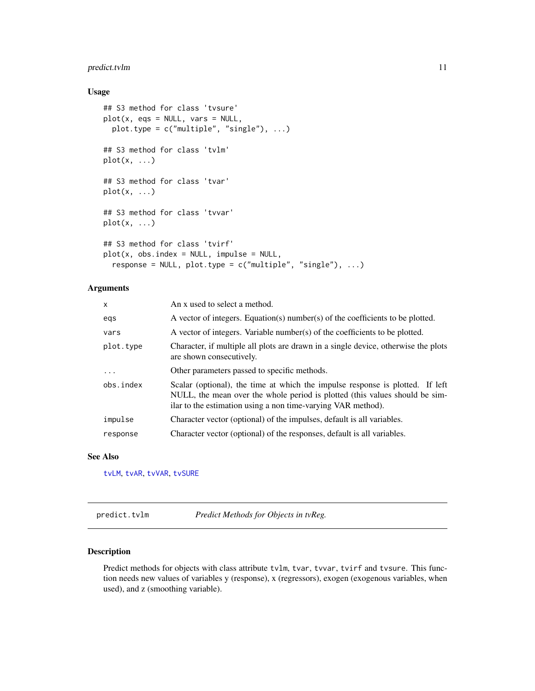# <span id="page-10-0"></span>predict.tvlm 11

# Usage

```
## S3 method for class 'tvsure'
plot(x, eqs = NULL, vars = NULL,
 plot.type = c("multiple", "single"), ...)
## S3 method for class 'tvlm'
plot(x, \ldots)## S3 method for class 'tvar'
plot(x, \ldots)## S3 method for class 'tvvar'
plot(x, \ldots)## S3 method for class 'tvirf'
plot(x, obs.index = NULL, impulse = NULL,
  response = NULL, plot.type = c("multiple", "single"), ...)
```
# Arguments

| X          | An x used to select a method.                                                                                                                                                                                                |
|------------|------------------------------------------------------------------------------------------------------------------------------------------------------------------------------------------------------------------------------|
| egs        | A vector of integers. Equation(s) number(s) of the coefficients to be plotted.                                                                                                                                               |
| vars       | A vector of integers. Variable number(s) of the coefficients to be plotted.                                                                                                                                                  |
| plot.type  | Character, if multiple all plots are drawn in a single device, otherwise the plots<br>are shown consecutively.                                                                                                               |
| $\ddots$ . | Other parameters passed to specific methods.                                                                                                                                                                                 |
| obs.index  | Scalar (optional), the time at which the impulse response is plotted. If left<br>NULL, the mean over the whole period is plotted (this values should be sim-<br>ilar to the estimation using a non time-varying VAR method). |
| impulse    | Character vector (optional) of the impulses, default is all variables.                                                                                                                                                       |
| response   | Character vector (optional) of the responses, default is all variables.                                                                                                                                                      |

# See Also

[tvLM](#page-23-1), [tvAR](#page-16-1), [tvVAR](#page-32-1), [tvSURE](#page-29-1)

predict.tvlm *Predict Methods for Objects in tvReg.*

# Description

Predict methods for objects with class attribute tvlm, tvar, tvvar, tvirf and tvsure. This function needs new values of variables y (response), x (regressors), exogen (exogenous variables, when used), and z (smoothing variable).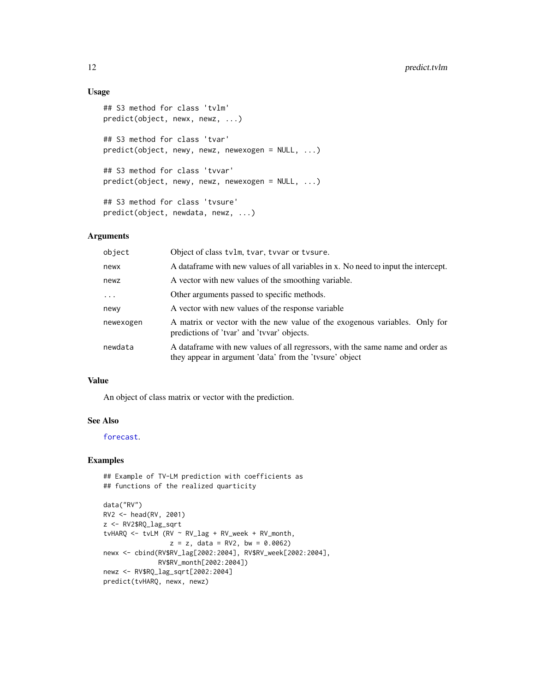# Usage

```
## S3 method for class 'tvlm'
predict(object, newx, newz, ...)
## S3 method for class 'tvar'
predict(object, newy, newz, newexogen = NULL, ...)
## S3 method for class 'tvvar'
predict(object, newy, newz, newexogen = NULL, ...)
## S3 method for class 'tvsure'
predict(object, newdata, newz, ...)
```
# Arguments

| object    | Object of class tvlm, tvar, tvvar or tvsure.                                                                                              |
|-----------|-------------------------------------------------------------------------------------------------------------------------------------------|
| newx      | A data frame with new values of all variables in x. No need to input the intercept.                                                       |
| newz      | A vector with new values of the smoothing variable.                                                                                       |
| $\cdots$  | Other arguments passed to specific methods.                                                                                               |
| newy      | A vector with new values of the response variable                                                                                         |
| newexogen | A matrix or vector with the new value of the exogenous variables. Only for<br>predictions of 'tvar' and 'tvvar' objects.                  |
| newdata   | A dataframe with new values of all regressors, with the same name and order as<br>they appear in argument 'data' from the 'tvsure' object |

# Value

An object of class matrix or vector with the prediction.

#### See Also

[forecast](#page-8-1).

# Examples

```
## Example of TV-LM prediction with coefficients as
## functions of the realized quarticity
```

```
data("RV")
RV2 <- head(RV, 2001)
z <- RV2$RQ_lag_sqrt
tvHARQ <- tvLM (RV ~ RV_lag + RV_week + RV_month,
                z = z, data = RV2, bw = 0.0062)
newx <- cbind(RV$RV_lag[2002:2004], RV$RV_week[2002:2004],
              RV$RV_month[2002:2004])
newz <- RV$RQ_lag_sqrt[2002:2004]
predict(tvHARQ, newx, newz)
```
<span id="page-11-0"></span>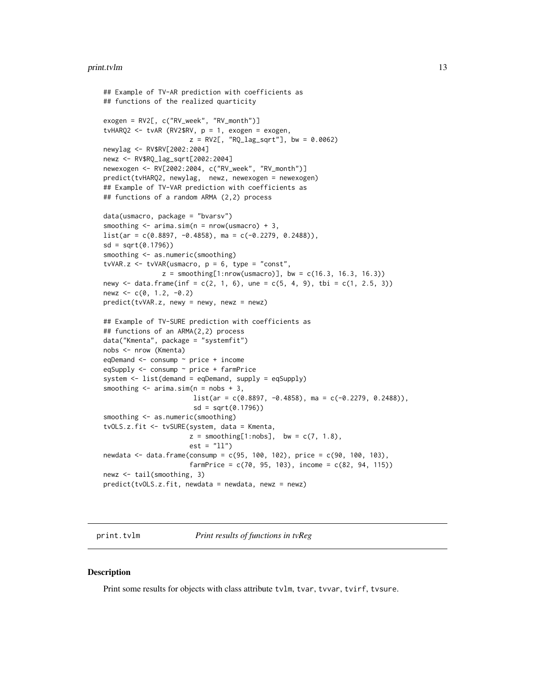#### <span id="page-12-0"></span>print.tvlm and the contract of the contract of the contract of the contract of the contract of the contract of the contract of the contract of the contract of the contract of the contract of the contract of the contract of

```
## Example of TV-AR prediction with coefficients as
## functions of the realized quarticity
exogen = RV2[, c("RV_week", "RV_month")]
tvHARQ2 <- tvAR (RV2$RV, p = 1, exogen = exogen,
                      z = \text{RV2}, "RQ_lag_sqrt"], bw = 0.0062)
newylag <- RV$RV[2002:2004]
newz <- RV$RQ_lag_sqrt[2002:2004]
newexogen <- RV[2002:2004, c("RV_week", "RV_month")]
predict(tvHARQ2, newylag, newz, newexogen = newexogen)
## Example of TV-VAR prediction with coefficients as
## functions of a random ARMA (2,2) process
data(usmacro, package = "bvarsv")
smoothing \leq arima.sim(n = nrow(usmacro) + 3,
list(ar = c(0.8897, -0.4858), ma = c(-0.2279, 0.2488)),
sd = sqrt(0.1796))
smoothing \leq as.numeric(smoothing)
tvVAR.z <- tvVAR(usmacro, p = 6, type = "const",
               z = smoothing[1:nrow(usmacro)], bw = c(16.3, 16.3, 16.3))
newy \le data.frame(inf = c(2, 1, 6), une = c(5, 4, 9), tbi = c(1, 2.5, 3))
newz <-c(0, 1.2, -0.2)predict(tvVAR.z, newy = newy, newz = newz)
## Example of TV-SURE prediction with coefficients as
## functions of an ARMA(2,2) process
data("Kmenta", package = "systemfit")
nobs <- nrow (Kmenta)
eqDemand <- consump ~ price + income
eqSupply <- consump ~ price + farmPrice
system <- list(demand = eqDemand, supply = eqSupply)
smoothing \leq arima.sim(n = nobs + 3,
                       list(ar = c(0.8897, -0.4858), ma = c(-0.2279, 0.2488)),sd = sqrt(0.1796)smoothing \leq as.numeric(smoothing)
tvOLS.z.fit <- tvSURE(system, data = Kmenta,
                      z = smoothing[1:nobs], bw = c(7, 1.8),
                      est = "11")newdata <- data.frame(consump = c(95, 100, 102), price = c(90, 100, 103),
                      farmPrice = c(70, 95, 103), income = c(82, 94, 115))
newz <- tail(smoothing, 3)
predict(tvOLS.z.fit, newdata = newdata, newz = newz)
```
print.tvlm *Print results of functions in tvReg*

#### **Description**

Print some results for objects with class attribute tvlm, tvar, tvvar, tvirf, tvsure.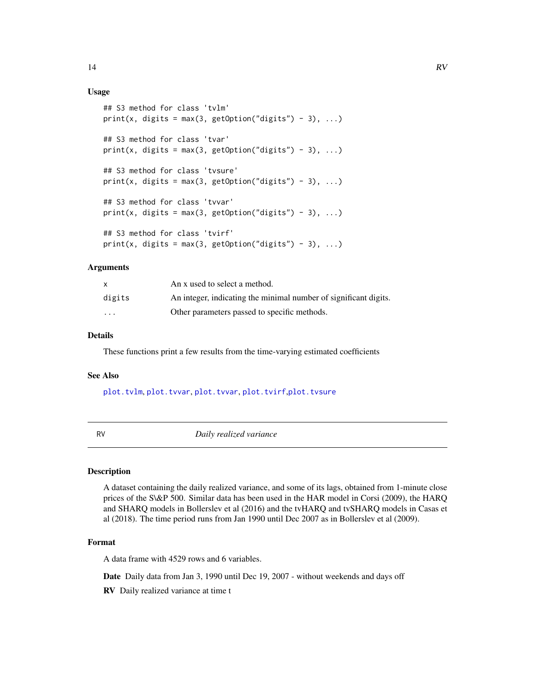# Usage

```
## S3 method for class 'tvlm'
print(x, digits = max(3, getOption("digits") - 3), ...)
## S3 method for class 'tvar'
print(x, digits = max(3, getOption("digits") - 3), ...)
## S3 method for class 'tvsure'
print(x, digits = max(3, getOption("digits") - 3), ...)
## S3 method for class 'tvvar'
print(x, digits = max(3, getOption("digits") - 3), ...)
## S3 method for class 'tvirf'
print(x, digits = max(3, getOption("digits") - 3), ...)
```
# Arguments

|                         | An x used to select a method.                                    |
|-------------------------|------------------------------------------------------------------|
| digits                  | An integer, indicating the minimal number of significant digits. |
| $\cdot$ $\cdot$ $\cdot$ | Other parameters passed to specific methods.                     |

# Details

These functions print a few results from the time-varying estimated coefficients

#### See Also

[plot.tvlm](#page-9-1), [plot.tvvar](#page-9-1), [plot.tvvar](#page-9-1), [plot.tvirf](#page-9-1),[plot.tvsure](#page-9-2)

RV *Daily realized variance*

#### Description

A dataset containing the daily realized variance, and some of its lags, obtained from 1-minute close prices of the S\&P 500. Similar data has been used in the HAR model in Corsi (2009), the HARQ and SHARQ models in Bollerslev et al (2016) and the tvHARQ and tvSHARQ models in Casas et al (2018). The time period runs from Jan 1990 until Dec 2007 as in Bollerslev et al (2009).

# Format

A data frame with 4529 rows and 6 variables.

Date Daily data from Jan 3, 1990 until Dec 19, 2007 - without weekends and days off

RV Daily realized variance at time t

<span id="page-13-0"></span>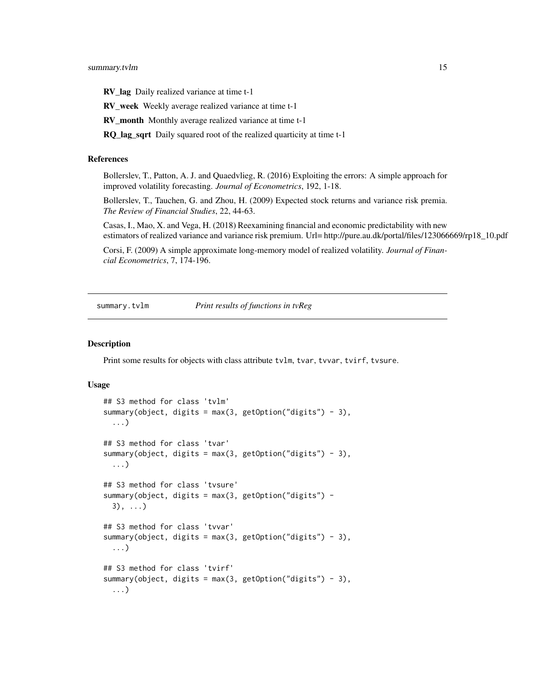<span id="page-14-0"></span>RV\_lag Daily realized variance at time t-1

RV\_week Weekly average realized variance at time t-1

RV\_month Monthly average realized variance at time t-1

RQ\_lag\_sqrt Daily squared root of the realized quarticity at time t-1

#### References

Bollerslev, T., Patton, A. J. and Quaedvlieg, R. (2016) Exploiting the errors: A simple approach for improved volatility forecasting. *Journal of Econometrics*, 192, 1-18.

Bollerslev, T., Tauchen, G. and Zhou, H. (2009) Expected stock returns and variance risk premia. *The Review of Financial Studies*, 22, 44-63.

Casas, I., Mao, X. and Vega, H. (2018) Reexamining financial and economic predictability with new estimators of realized variance and variance risk premium. Url= http://pure.au.dk/portal/files/123066669/rp18\_10.pdf

Corsi, F. (2009) A simple approximate long-memory model of realized volatility. *Journal of Financial Econometrics*, 7, 174-196.

summary.tvlm *Print results of functions in tvReg*

#### <span id="page-14-1"></span>Description

Print some results for objects with class attribute tvlm, tvar, tvvar, tvirf, tvsure.

#### Usage

```
## S3 method for class 'tvlm'
summary(object, digits = max(3, getOption("digits") - 3),
  ...)
## S3 method for class 'tvar'
summary(object, digits = max(3, getOption("digits") - 3),
  ...)
## S3 method for class 'tvsure'
summary(object, digits = max(3, getOption("digits") -
  3), \ldots## S3 method for class 'tvvar'
summary(object, digits = max(3, getOption("digits") - 3),
  ...)
## S3 method for class 'tvirf'
summary(object, digits = max(3, getOption("digits") - 3),
  ...)
```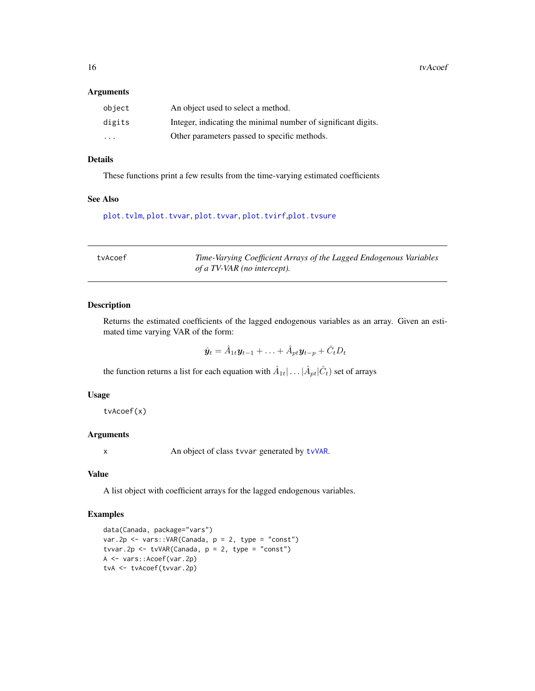<span id="page-15-0"></span>16 tvAcoef

#### Arguments

| object                  | An object used to select a method.                            |
|-------------------------|---------------------------------------------------------------|
| digits                  | Integer, indicating the minimal number of significant digits. |
| $\cdot$ $\cdot$ $\cdot$ | Other parameters passed to specific methods.                  |

# Details

These functions print a few results from the time-varying estimated coefficients

# See Also

[plot.tvlm](#page-9-1), [plot.tvvar](#page-9-1), [plot.tvvar](#page-9-1), [plot.tvirf](#page-9-1),[plot.tvsure](#page-9-2)

| tvAcoef | Time-Varying Coefficient Arrays of the Lagged Endogenous Variables |
|---------|--------------------------------------------------------------------|
|         | of a TV-VAR (no intercept).                                        |

# Description

Returns the estimated coefficients of the lagged endogenous variables as an array. Given an estimated time varying VAR of the form:

 $\hat{\boldsymbol{y}}_t = \hat{A}_{1t}\boldsymbol{y}_{t-1} + \ldots + \hat{A}_{pt}\boldsymbol{y}_{t-p} + \hat{C}_t D_t$ 

the function returns a list for each equation with  $\hat{A}_{1t}$   $\dots$   $|\hat{A}_{pt}|\hat{C}_{t})$  set of arrays

# Usage

tvAcoef(x)

#### Arguments

x An object of class tvvar generated by [tvVAR](#page-32-1).

#### Value

A list object with coefficient arrays for the lagged endogenous variables.

# Examples

```
data(Canada, package="vars")
var.2p <- vars::VAR(Canada, p = 2, type = "const")
tvvar.2p <- tvVAR(Canada, p = 2, type = "const")
A <- vars::Acoef(var.2p)
tvA <- tvAcoef(tvvar.2p)
```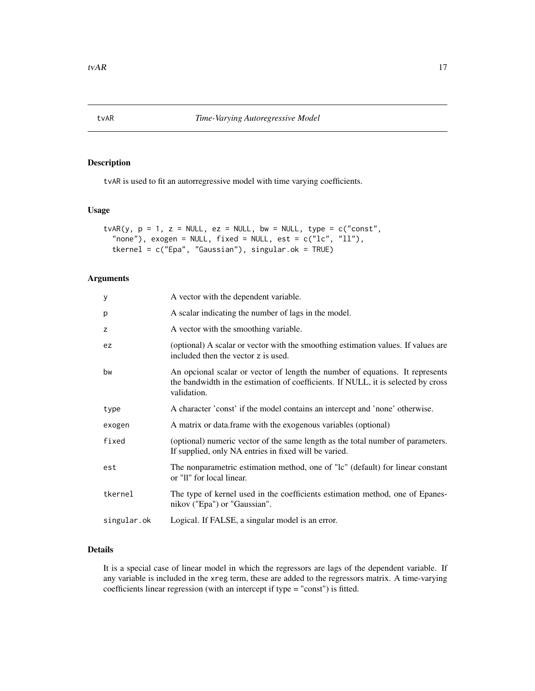# <span id="page-16-1"></span><span id="page-16-0"></span>Description

tvAR is used to fit an autorregressive model with time varying coefficients.

#### Usage

```
tvAR(y, p = 1, z = NULL, ez = NULL, bw = NULL, type = c("const",
 "none"), exogen = NULL, fixed = NULL, est = c("lc", "ll"),tkernel = c("Epa", "Gaussian"), singular.ok = TRUE)
```
# Arguments

| У           | A vector with the dependent variable.                                                                                                                                             |
|-------------|-----------------------------------------------------------------------------------------------------------------------------------------------------------------------------------|
| р           | A scalar indicating the number of lags in the model.                                                                                                                              |
| z           | A vector with the smoothing variable.                                                                                                                                             |
| ez          | (optional) A scalar or vector with the smoothing estimation values. If values are<br>included then the vector z is used.                                                          |
| bw          | An opcional scalar or vector of length the number of equations. It represents<br>the bandwidth in the estimation of coefficients. If NULL, it is selected by cross<br>validation. |
| type        | A character 'const' if the model contains an intercept and 'none' otherwise.                                                                                                      |
| exogen      | A matrix or data.frame with the exogenous variables (optional)                                                                                                                    |
| fixed       | (optional) numeric vector of the same length as the total number of parameters.<br>If supplied, only NA entries in fixed will be varied.                                          |
| est         | The nonparametric estimation method, one of "lc" (default) for linear constant<br>or "Il" for local linear.                                                                       |
| tkernel     | The type of kernel used in the coefficients estimation method, one of Epanes-<br>nikov ("Epa") or "Gaussian".                                                                     |
| singular.ok | Logical. If FALSE, a singular model is an error.                                                                                                                                  |
|             |                                                                                                                                                                                   |

# Details

It is a special case of linear model in which the regressors are lags of the dependent variable. If any variable is included in the xreg term, these are added to the regressors matrix. A time-varying coefficients linear regression (with an intercept if type = "const") is fitted.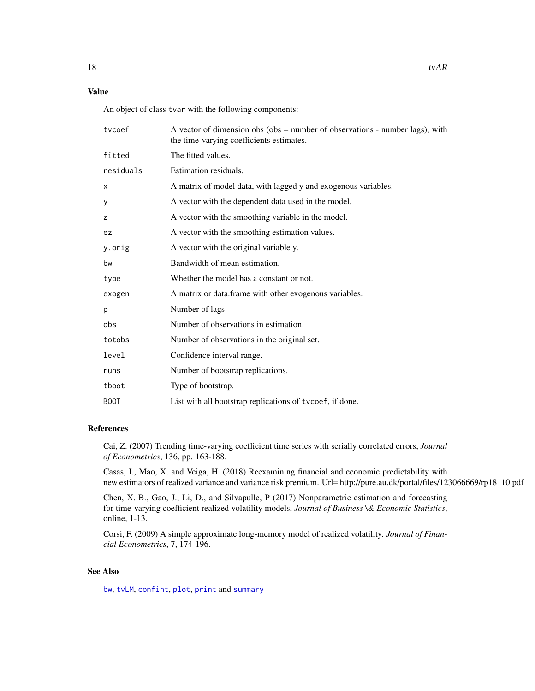# <span id="page-17-0"></span>Value

An object of class tvar with the following components:

| tvcoef      | A vector of dimension obs (obs = number of observations - number lags), with<br>the time-varying coefficients estimates. |
|-------------|--------------------------------------------------------------------------------------------------------------------------|
| fitted      | The fitted values.                                                                                                       |
| residuals   | Estimation residuals.                                                                                                    |
| X           | A matrix of model data, with lagged y and exogenous variables.                                                           |
| У           | A vector with the dependent data used in the model.                                                                      |
| z           | A vector with the smoothing variable in the model.                                                                       |
| ez          | A vector with the smoothing estimation values.                                                                           |
| y.orig      | A vector with the original variable y.                                                                                   |
| bw          | Bandwidth of mean estimation.                                                                                            |
| type        | Whether the model has a constant or not.                                                                                 |
| exogen      | A matrix or data.frame with other exogenous variables.                                                                   |
| p           | Number of lags                                                                                                           |
| obs         | Number of observations in estimation.                                                                                    |
| totobs      | Number of observations in the original set.                                                                              |
| level       | Confidence interval range.                                                                                               |
| runs        | Number of bootstrap replications.                                                                                        |
| tboot       | Type of bootstrap.                                                                                                       |
| <b>BOOT</b> | List with all bootstrap replications of tvcoef, if done.                                                                 |

#### References

Cai, Z. (2007) Trending time-varying coefficient time series with serially correlated errors, *Journal of Econometrics*, 136, pp. 163-188.

Casas, I., Mao, X. and Veiga, H. (2018) Reexamining financial and economic predictability with new estimators of realized variance and variance risk premium. Url= http://pure.au.dk/portal/files/123066669/rp18\_10.pdf

Chen, X. B., Gao, J., Li, D., and Silvapulle, P (2017) Nonparametric estimation and forecasting for time-varying coefficient realized volatility models, *Journal of Business \& Economic Statistics*, online, 1-13.

Corsi, F. (2009) A simple approximate long-memory model of realized volatility. *Journal of Financial Econometrics*, 7, 174-196.

# See Also

[bw](#page-1-1), [tvLM](#page-23-1), [confint](#page-0-0), [plot](#page-0-0), [print](#page-0-0) and [summary](#page-14-1)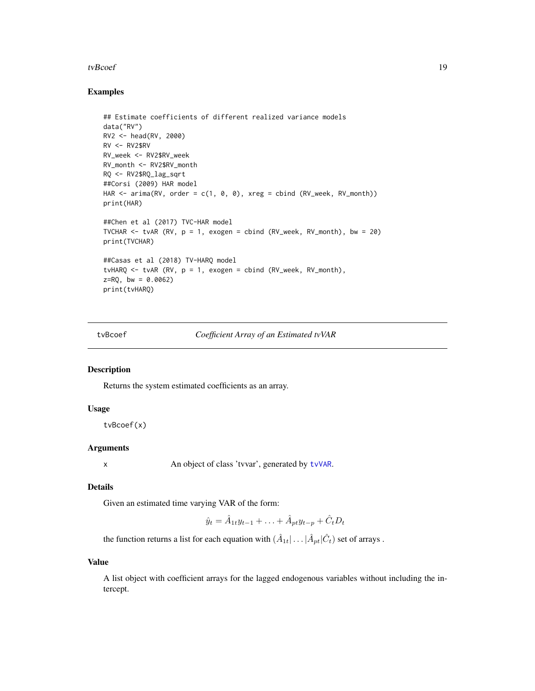#### <span id="page-18-0"></span>tvBcoef and the state of the state of the state of the state of the state of the state of the state of the state of the state of the state of the state of the state of the state of the state of the state of the state of th

#### Examples

```
## Estimate coefficients of different realized variance models
data("RV")
RV2 <- head(RV, 2000)
RV < - RV2$RV
RV_week <- RV2$RV_week
RV_month <- RV2$RV_month
RQ <- RV2$RQ_lag_sqrt
##Corsi (2009) HAR model
HAR <- arima(RV, order = c(1, 0, 0), xreg = cbind (RV_week, RV_month))
print(HAR)
##Chen et al (2017) TVC-HAR model
TVCHAR \le tvAR (RV, p = 1, exogen = cbind (RV_week, RV_month), bw = 20)
print(TVCHAR)
##Casas et al (2018) TV-HARQ model
tvHARQ \leq tvAR (RV, p = 1, exogen = cbind (RV_week, RV_month),
z = RQ, bw = 0.0062)
print(tvHARQ)
```
tvBcoef *Coefficient Array of an Estimated tvVAR*

# Description

Returns the system estimated coefficients as an array.

#### Usage

tvBcoef(x)

#### Arguments

x An object of class 'tvvar', generated by [tvVAR](#page-32-1).

#### Details

Given an estimated time varying VAR of the form:

$$
\hat{y}_t = \hat{A}_{1t} y_{t-1} + \ldots + \hat{A}_{pt} y_{t-p} + \hat{C}_t D_t
$$

the function returns a list for each equation with  $(\hat{A}_{1t} | \dots | \hat{A}_{pt} | \hat{C}_t)$  set of arrays .

#### Value

A list object with coefficient arrays for the lagged endogenous variables without including the intercept.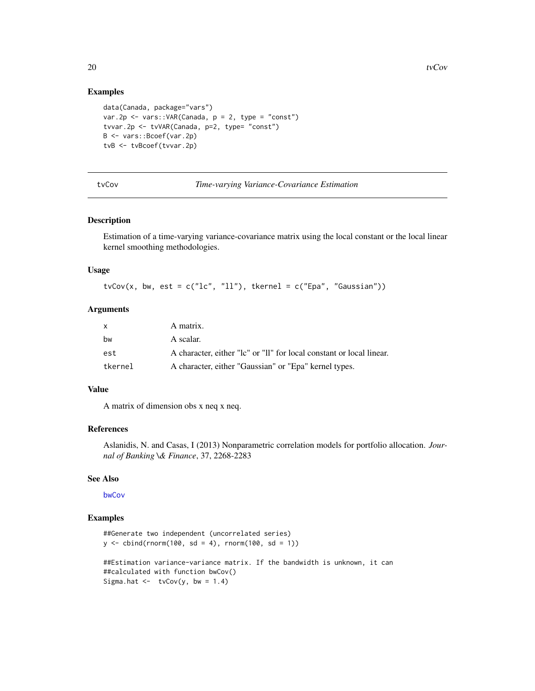#### Examples

```
data(Canada, package="vars")
var.2p <- vars:: VAR(Canada, p = 2, type = "const")
tvvar.2p <- tvVAR(Canada, p=2, type= "const")
B <- vars::Bcoef(var.2p)
tvB <- tvBcoef(tvvar.2p)
```
tvCov *Time-varying Variance-Covariance Estimation*

#### Description

Estimation of a time-varying variance-covariance matrix using the local constant or the local linear kernel smoothing methodologies.

#### Usage

 $tvCov(x, bw, est = c("lc", "ll"), tkernel = c("Epa", "Gaussian"))$ 

#### Arguments

| X       | A matrix.                                                            |
|---------|----------------------------------------------------------------------|
| bw      | A scalar.                                                            |
| est     | A character, either "lc" or "ll" for local constant or local linear. |
| tkernel | A character, either "Gaussian" or "Epa" kernel types.                |

### Value

A matrix of dimension obs x neq x neq.

# References

Aslanidis, N. and Casas, I (2013) Nonparametric correlation models for portfolio allocation. *Journal of Banking \& Finance*, 37, 2268-2283

#### See Also

[bwCov](#page-3-1)

### Examples

```
##Generate two independent (uncorrelated series)
y \le - \text{cbind}(rnorm(100, sd = 4), rnorm(100, sd = 1))##Estimation variance-variance matrix. If the bandwidth is unknown, it can
##calculated with function bwCov()
Sigma.hat \le tvCov(y, bw = 1.4)
```
<span id="page-19-0"></span>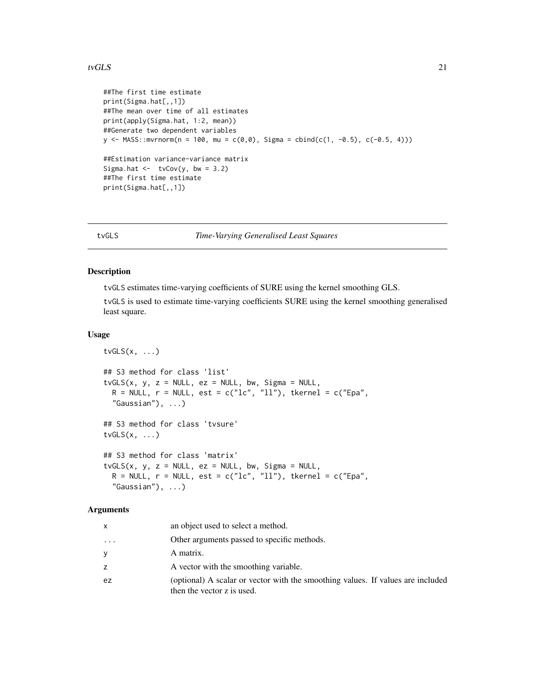#### <span id="page-20-0"></span>tv $GLS$  21

```
##The first time estimate
print(Sigma.hat[,,1])
##The mean over time of all estimates
print(apply(Sigma.hat, 1:2, mean))
##Generate two dependent variables
y <- MASS::mvrnorm(n = 100, mu = c(0,0), Sigma = cbind(c(1, -0.5), c(-0.5, 4)))
##Estimation variance-variance matrix
Sigma.hat \leftarrow tvCov(y, bw = 3.2)
##The first time estimate
print(Sigma.hat[,,1])
```
<span id="page-20-1"></span>tvGLS *Time-Varying Generalised Least Squares*

#### Description

tvGLS estimates time-varying coefficients of SURE using the kernel smoothing GLS.

tvGLS is used to estimate time-varying coefficients SURE using the kernel smoothing generalised least square.

### Usage

```
tvGLS(x, \ldots)## S3 method for class 'list'
tvGLS(x, y, z = NULL, ez = NULL, bw, Sigma = NULL,R = NULL, r = NULL, est = c("lc", "ll"), tkernel = c("Epa",
  "Gaussian"), ...)
## S3 method for class 'tvsure'
tvGLS(x, \ldots)## S3 method for class 'matrix'
tvGLS(x, y, z = NULL, ez = NULL, bw, Sigma = NULL,
  R = NULL, r = NULL, est = c("lc", "ll"), tkernel = c("Epa",
  "Gaussian"), \ldots)
```
#### Arguments

| x        | an object used to select a method.                                                                            |
|----------|---------------------------------------------------------------------------------------------------------------|
| $\cdots$ | Other arguments passed to specific methods.                                                                   |
| У        | A matrix.                                                                                                     |
| Z.       | A vector with the smoothing variable.                                                                         |
| ez       | (optional) A scalar or vector with the smoothing values. If values are included<br>then the vector z is used. |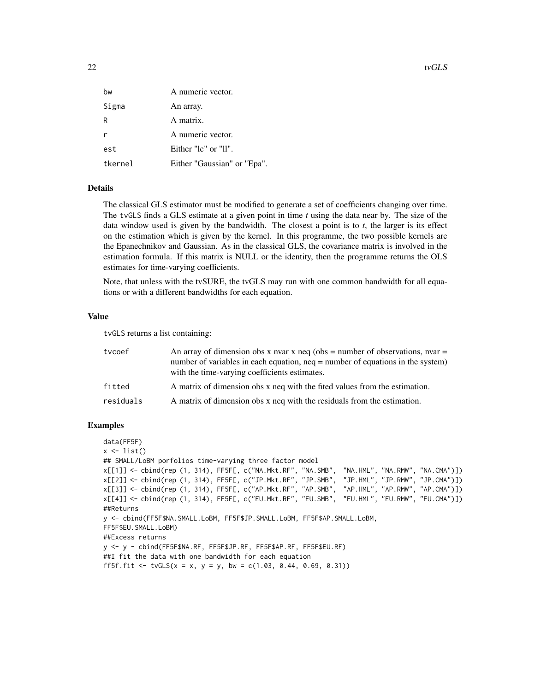| bw      | A numeric vector.           |
|---------|-----------------------------|
| Sigma   | An array.                   |
| R       | A matrix.                   |
|         | A numeric vector.           |
| est     | Either "lc" or "ll".        |
| tkernel | Either "Gaussian" or "Epa". |

# Details

The classical GLS estimator must be modified to generate a set of coefficients changing over time. The tvGLS finds a GLS estimate at a given point in time *t* using the data near by. The size of the data window used is given by the bandwidth. The closest a point is to *t*, the larger is its effect on the estimation which is given by the kernel. In this programme, the two possible kernels are the Epanechnikov and Gaussian. As in the classical GLS, the covariance matrix is involved in the estimation formula. If this matrix is NULL or the identity, then the programme returns the OLS estimates for time-varying coefficients.

Note, that unless with the tvSURE, the tvGLS may run with one common bandwidth for all equations or with a different bandwidths for each equation.

# Value

tvGLS returns a list containing:

| tycoef    | An array of dimension obs x nvar x neq (obs = number of observations, nvar =<br>number of variables in each equation, neq = number of equations in the system)<br>with the time-varying coefficients estimates. |
|-----------|-----------------------------------------------------------------------------------------------------------------------------------------------------------------------------------------------------------------|
| fitted    | A matrix of dimension obs x neq with the fited values from the estimation.                                                                                                                                      |
| residuals | A matrix of dimension obs x neq with the residuals from the estimation.                                                                                                                                         |

#### Examples

```
data(FF5F)
x \leftarrow list()
## SMALL/LoBM porfolios time-varying three factor model
x[[1]] <- cbind(rep (1, 314), FF5F[, c("NA.Mkt.RF", "NA.SMB", "NA.HML", "NA.RMW", "NA.CMA")])
x[[2]] <- cbind(rep (1, 314), FF5F[, c("JP.Mkt.RF", "JP.SMB", "JP.HML", "JP.RMW", "JP.CMA")])
x[[3]] <- cbind(rep (1, 314), FF5F[, c("AP.Mkt.RF", "AP.SMB", "AP.HML", "AP.RMW", "AP.CMA")])
x[[4]] <- cbind(rep (1, 314), FF5F[, c("EU.Mkt.RF", "EU.SMB", "EU.HML", "EU.RMW", "EU.CMA")])
##Returns
y <- cbind(FF5F$NA.SMALL.LoBM, FF5F$JP.SMALL.LoBM, FF5F$AP.SMALL.LoBM,
FF5F$EU.SMALL.LoBM)
##Excess returns
y <- y - cbind(FF5F$NA.RF, FF5F$JP.RF, FF5F$AP.RF, FF5F$EU.RF)
##I fit the data with one bandwidth for each equation
ff5f.fit <- tvGLS(x = x, y = y, bw = c(1.03, 0.44, 0.69, 0.31))
```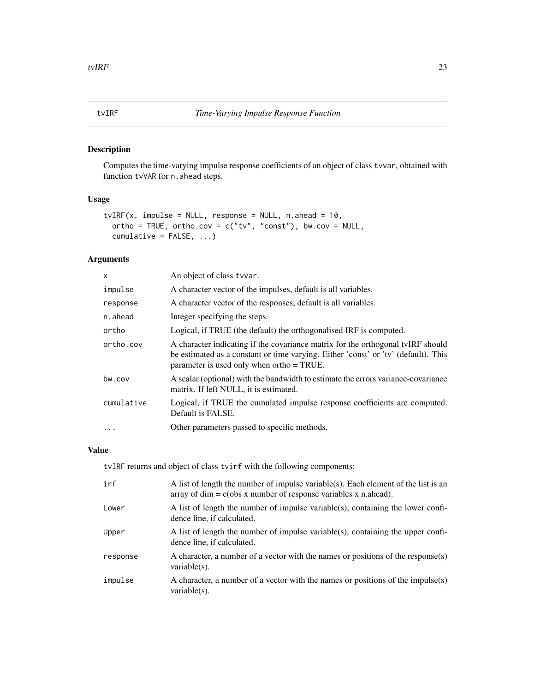# <span id="page-22-1"></span><span id="page-22-0"></span>Description

Computes the time-varying impulse response coefficients of an object of class tvvar, obtained with function tvVAR for n. ahead steps.

# Usage

```
tvIRF(x, impulse = NULL, response = NULL, n.ahead = 10,
 ortho = TRUE, ortho.cov = c("tv", "const"), bw.cov = NULL,cumulative = FALSE, ...)
```
# Arguments

| $\times$   | An object of class tyvar.                                                                                                                                                                                          |
|------------|--------------------------------------------------------------------------------------------------------------------------------------------------------------------------------------------------------------------|
| impulse    | A character vector of the impulses, default is all variables.                                                                                                                                                      |
| response   | A character vector of the responses, default is all variables.                                                                                                                                                     |
| n.ahead    | Integer specifying the steps.                                                                                                                                                                                      |
| ortho      | Logical, if TRUE (the default) the orthogonalised IRF is computed.                                                                                                                                                 |
| ortho.cov  | A character indicating if the covariance matrix for the orthogonal tvIRF should<br>be estimated as a constant or time varying. Either 'const' or 'tv' (default). This<br>parameter is used only when ortho = TRUE. |
| bw.cov     | A scalar (optional) with the bandwidth to estimate the errors variance-covariance<br>matrix. If left NULL, it is estimated.                                                                                        |
| cumulative | Logical, if TRUE the cumulated impulse response coefficients are computed.<br>Default is FALSE.                                                                                                                    |
|            | Other parameters passed to specific methods.                                                                                                                                                                       |

# Value

tvIRF returns and object of class tvirf with the following components:

| irf      | A list of length the number of impulse variable(s). Each element of the list is an<br>array of dim = $c(\text{obs } x$ number of response variables x n.ahead). |
|----------|-----------------------------------------------------------------------------------------------------------------------------------------------------------------|
| Lower    | A list of length the number of impulse variable(s), containing the lower confi-<br>dence line, if calculated.                                                   |
| Upper    | A list of length the number of impulse variable(s), containing the upper confi-<br>dence line, if calculated.                                                   |
| response | A character, a number of a vector with the names or positions of the response(s)<br>variable $(s)$ .                                                            |
| impulse  | A character, a number of a vector with the names or positions of the impulse(s)<br>variable $(s)$ .                                                             |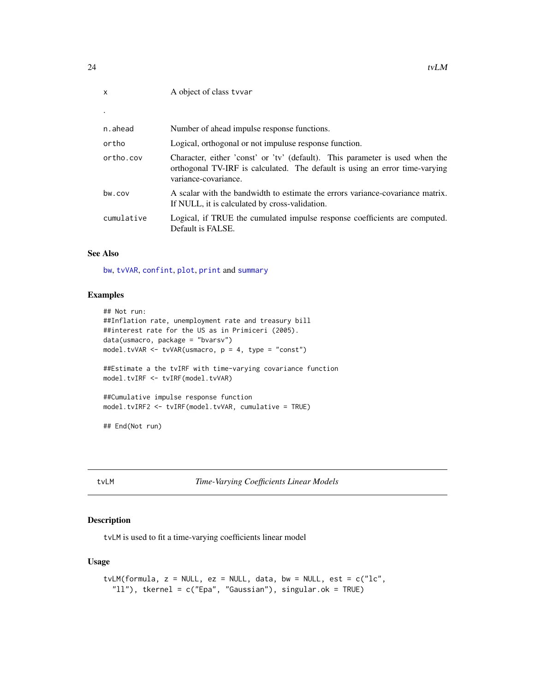<span id="page-23-0"></span>

| $\mathsf{x}$ | A object of class tyvar                                                                                                                                                             |
|--------------|-------------------------------------------------------------------------------------------------------------------------------------------------------------------------------------|
|              |                                                                                                                                                                                     |
| n.ahead      | Number of ahead impulse response functions.                                                                                                                                         |
| ortho        | Logical, orthogonal or not impuluse response function.                                                                                                                              |
| ortho.cov    | Character, either 'const' or 'tv' (default). This parameter is used when the<br>orthogonal TV-IRF is calculated. The default is using an error time-varying<br>variance-covariance. |
| bw.cov       | A scalar with the bandwidth to estimate the errors variance-covariance matrix.<br>If NULL, it is calculated by cross-validation.                                                    |
| cumulative   | Logical, if TRUE the cumulated impulse response coefficients are computed.<br>Default is FALSE.                                                                                     |

#### See Also

[bw](#page-1-1), [tvVAR](#page-32-1), [confint](#page-0-0), [plot](#page-0-0), [print](#page-0-0) and [summary](#page-14-1)

#### Examples

```
## Not run:
##Inflation rate, unemployment rate and treasury bill
##interest rate for the US as in Primiceri (2005).
data(usmacro, package = "bvarsv")
model.tvVAR <- tvVAR(usmacro, p = 4, type = "const")
##Estimate a the tvIRF with time-varying covariance function
model.tvIRF <- tvIRF(model.tvVAR)
##Cumulative impulse response function
model.tvIRF2 <- tvIRF(model.tvVAR, cumulative = TRUE)
## End(Not run)
```
<span id="page-23-1"></span>tvLM *Time-Varying Coefficients Linear Models*

# Description

tvLM is used to fit a time-varying coefficients linear model

# Usage

```
tvLM(formula, z = NULL, ez = NULL, data, bw = NULL, est = c("lc","ll"), tkernel = c("Epa", "Gaussian"), singular.ok = TRUE)
```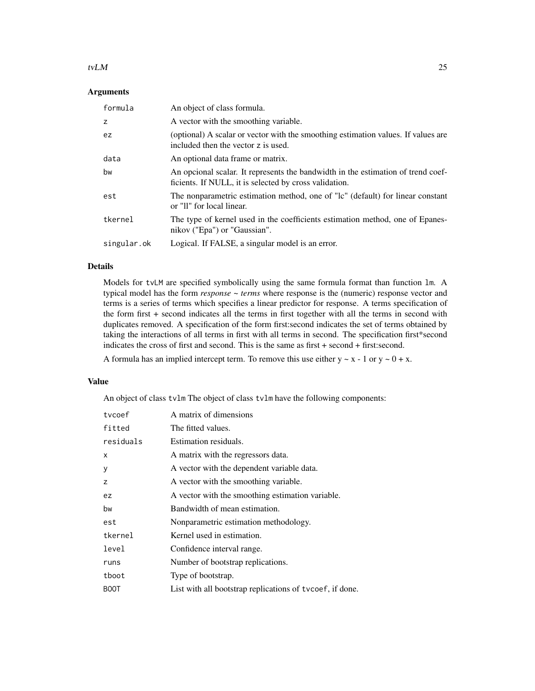#### tv $LM$  25

# Arguments

| formula     | An object of class formula.                                                                                                                |
|-------------|--------------------------------------------------------------------------------------------------------------------------------------------|
| z           | A vector with the smoothing variable.                                                                                                      |
| ez          | (optional) A scalar or vector with the smoothing estimation values. If values are<br>included then the vector z is used.                   |
| data        | An optional data frame or matrix.                                                                                                          |
| bw          | An opcional scalar. It represents the bandwidth in the estimation of trend coef-<br>ficients. If NULL, it is selected by cross validation. |
| est         | The nonparametric estimation method, one of "lc" (default) for linear constant<br>or "II" for local linear.                                |
| tkernel     | The type of kernel used in the coefficients estimation method, one of Epanes-<br>nikov ("Epa") or "Gaussian".                              |
| singular.ok | Logical. If FALSE, a singular model is an error.                                                                                           |

# Details

Models for tvLM are specified symbolically using the same formula format than function lm. A typical model has the form *response* ~ *terms* where response is the (numeric) response vector and terms is a series of terms which specifies a linear predictor for response. A terms specification of the form first + second indicates all the terms in first together with all the terms in second with duplicates removed. A specification of the form first:second indicates the set of terms obtained by taking the interactions of all terms in first with all terms in second. The specification first\*second indicates the cross of first and second. This is the same as first + second + first:second.

A formula has an implied intercept term. To remove this use either  $y \sim x - 1$  or  $y \sim 0 + x$ .

#### Value

An object of class tvlm The object of class tvlm have the following components:

| tycoef      | A matrix of dimensions                                   |
|-------------|----------------------------------------------------------|
| fitted      | The fitted values.                                       |
| residuals   | Estimation residuals.                                    |
| X           | A matrix with the regressors data.                       |
| У           | A vector with the dependent variable data.               |
| Z           | A vector with the smoothing variable.                    |
| ez.         | A vector with the smoothing estimation variable.         |
| bw          | Bandwidth of mean estimation.                            |
| est         | Nonparametric estimation methodology.                    |
| tkernel     | Kernel used in estimation.                               |
| level       | Confidence interval range.                               |
| runs        | Number of bootstrap replications.                        |
| tboot       | Type of bootstrap.                                       |
| <b>BOOT</b> | List with all bootstrap replications of tycoef, if done. |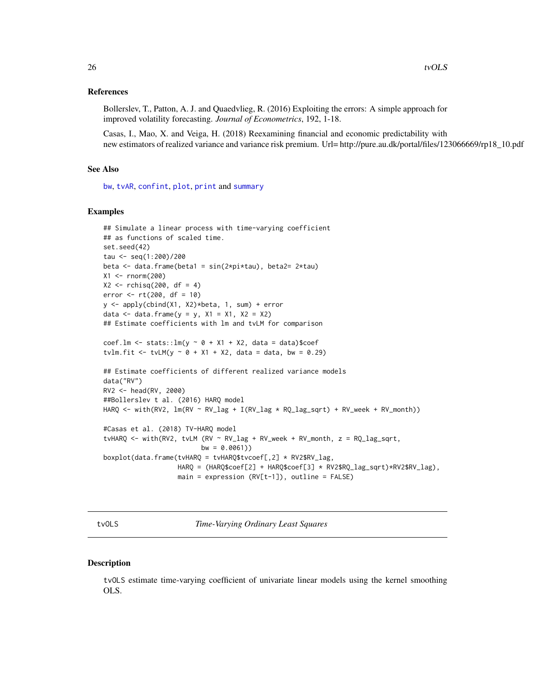#### <span id="page-25-0"></span>References

Bollerslev, T., Patton, A. J. and Quaedvlieg, R. (2016) Exploiting the errors: A simple approach for improved volatility forecasting. *Journal of Econometrics*, 192, 1-18.

Casas, I., Mao, X. and Veiga, H. (2018) Reexamining financial and economic predictability with new estimators of realized variance and variance risk premium. Url= http://pure.au.dk/portal/files/123066669/rp18\_10.pdf

#### See Also

[bw](#page-1-1), [tvAR](#page-16-1), [confint](#page-0-0), [plot](#page-0-0), [print](#page-0-0) and [summary](#page-14-1)

#### Examples

```
## Simulate a linear process with time-varying coefficient
## as functions of scaled time.
set.seed(42)
tau <- seq(1:200)/200
beta \leq data.frame(beta1 = sin(2*pi*tau), beta2= 2*tau)
X1 <- rnorm(200)
X2 \le - rchisq(200, df = 4)
error <- rt(200, df = 10)
y <- apply(cbind(X1, X2)*beta, 1, sum) + error
data \leq data.frame(y = y, X1 = X1, X2 = X2)
## Estimate coefficients with lm and tvLM for comparison
coef.lm <- stats::lm(y \sim \emptyset + X1 + X2, data = data)$coef
tvlm.fit <- tvLM(y \sim 0 + X1 + X2, data = data, bw = 0.29)
## Estimate coefficients of different realized variance models
data("RV")
RV2 <- head(RV, 2000)
##Bollerslev t al. (2016) HARQ model
HARQ \le with(RV2, lm(RV \sim RV \text{log } + I(RV \text{log } * RQ \text{log\_sqrt}) + RV \text{week } + RV \text{month}))
#Casas et al. (2018) TV-HARQ model
tvHARQ <- with(RV2, tvLM (RV \sim RV_lag + RV_week + RV_month, z = RQ_{a} =sqrt{1 + RQ_{b}}bw = 0.0061)boxplot(data.frame(tvHARQ = tvHARQ$tvcoef[,2] * RV2$RV_lag,
                    HARQ = (HARQ$coef[2] + HARQ$coef[3] * RV2$RQ_lag_sqrt)*RV2$RV_lag),
                    main = expression (RV[t-1]), outline = FALSE)
```
tvOLS *Time-Varying Ordinary Least Squares*

#### Description

tvOLS estimate time-varying coefficient of univariate linear models using the kernel smoothing OLS.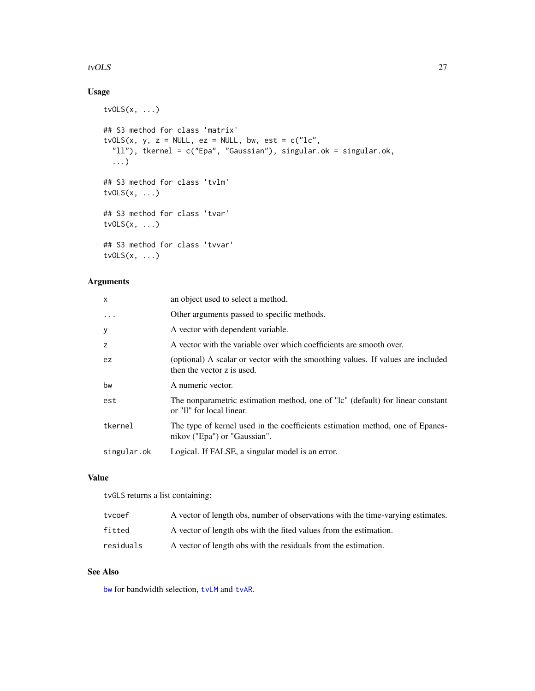#### <span id="page-26-0"></span>tvOLS 27

# Usage

```
tvOLS(x, ...)
## S3 method for class 'matrix'
tvOLS(x, y, z = NULL, ez = NULL, bw, est = c("lc","ll"), tkernel = c("Epa", "Gaussian"), singular.ok = singular.ok,
  ...)
## S3 method for class 'tvlm'
tvOLS(x, \ldots)## S3 method for class 'tvar'
tvOLS(x, \ldots)## S3 method for class 'tvvar'
tvOLS(x, \ldots)
```
# Arguments

| $\mathsf{x}$ | an object used to select a method.                                                                            |
|--------------|---------------------------------------------------------------------------------------------------------------|
| $\cdot$      | Other arguments passed to specific methods.                                                                   |
| y            | A vector with dependent variable.                                                                             |
| z            | A vector with the variable over which coefficients are smooth over.                                           |
| ez.          | (optional) A scalar or vector with the smoothing values. If values are included<br>then the vector z is used. |
| bw           | A numeric vector.                                                                                             |
| est          | The nonparametric estimation method, one of "lc" (default) for linear constant<br>or "II" for local linear.   |
| tkernel      | The type of kernel used in the coefficients estimation method, one of Epanes-<br>nikov ("Epa") or "Gaussian". |
| singular.ok  | Logical. If FALSE, a singular model is an error.                                                              |

# Value

tvGLS returns a list containing:

| tvcoef    | A vector of length obs, number of observations with the time-varying estimates. |
|-----------|---------------------------------------------------------------------------------|
| fitted    | A vector of length obs with the fited values from the estimation.               |
| residuals | A vector of length obs with the residuals from the estimation.                  |

# See Also

[bw](#page-1-1) for bandwidth selection, [tvLM](#page-23-1) and [tvAR](#page-16-1).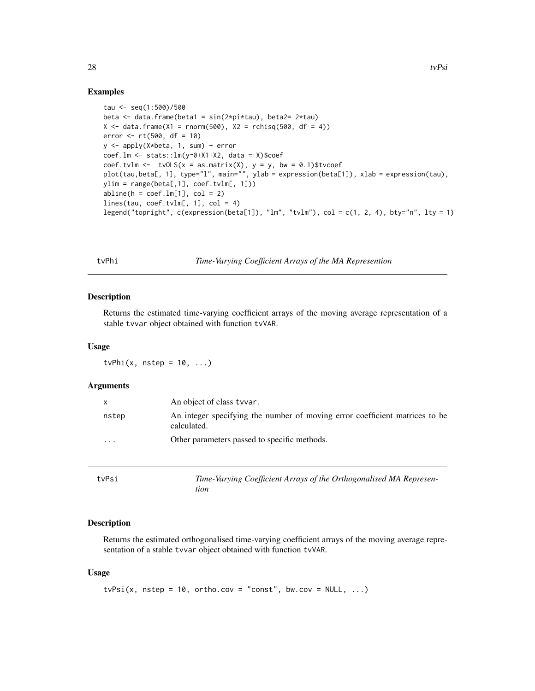#### Examples

```
tau <- seq(1:500)/500
beta \leq data.frame(beta1 = sin(2*pi*tau), beta2= 2*tau)
X \le - data.frame(X1 = rnorm(500), X2 = rchisq(500, df = 4))
error <-rt(500, df = 10)y <- apply(X*beta, 1, sum) + error
coef.lm <- stats::lm(y~0+X1+X2, data = X)$coef
coef.tvlm <- tvOLS(x = as.matrix(X), y = y, bw = 0.1)$tvcoef
plot(tau,beta[, 1], type="l", main="", ylab = expression(beta[1]), xlab = expression(tau),
ylim = range(beta[, 1], coef.tvlm[, 1])abline(h = coef.lm[1], col = 2)lines(tau, coef.tvlm[, 1], col = 4)
legend("topright", c(expression(beta[1]), "lm", "tvlm"), col = c(1, 2, 4), bty="n", lty = 1)
```
tvPhi *Time-Varying Coefficient Arrays of the MA Represention*

#### Description

Returns the estimated time-varying coefficient arrays of the moving average representation of a stable tvvar object obtained with function tvVAR.

#### Usage

tvPhi $(x, nstep = 10, ...)$ 

#### Arguments

| X                       | An object of class tyvar.                                                                  |
|-------------------------|--------------------------------------------------------------------------------------------|
| nstep                   | An integer specifying the number of moving error coefficient matrices to be<br>calculated. |
| $\cdot$ $\cdot$ $\cdot$ | Other parameters passed to specific methods.                                               |

| tvPsi | Time-Varying Coefficient Arrays of the Orthogonalised MA Represen- |
|-------|--------------------------------------------------------------------|
|       | tion                                                               |

# Description

Returns the estimated orthogonalised time-varying coefficient arrays of the moving average representation of a stable tvvar object obtained with function tvVAR.

#### Usage

```
tvPsi(x, nstep = 10, ortho.cov = "const", bw.cov = NULL, ...)
```
<span id="page-27-0"></span>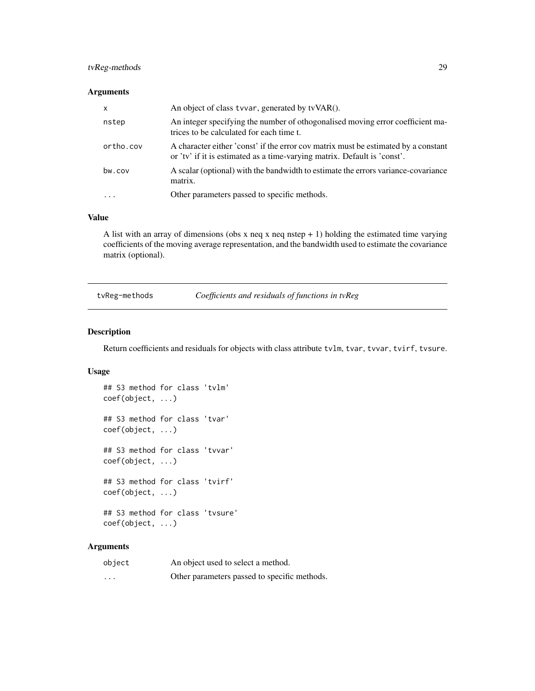# <span id="page-28-0"></span>tvReg-methods 29

## Arguments

| $\mathsf{x}$ | An object of class tyvar, generated by tyVAR().                                                                                                                |
|--------------|----------------------------------------------------------------------------------------------------------------------------------------------------------------|
| nstep        | An integer specifying the number of othogonalised moving error coefficient ma-<br>trices to be calculated for each time t.                                     |
| ortho.cov    | A character either 'const' if the error cov matrix must be estimated by a constant<br>or 'tv' if it is estimated as a time-varying matrix. Default is 'const'. |
| bw.cov       | A scalar (optional) with the bandwidth to estimate the errors variance-covariance<br>matrix.                                                                   |
|              | Other parameters passed to specific methods.                                                                                                                   |

## Value

A list with an array of dimensions (obs x neq x neq nstep + 1) holding the estimated time varying coefficients of the moving average representation, and the bandwidth used to estimate the covariance matrix (optional).

tvReg-methods *Coefficients and residuals of functions in tvReg*

# Description

Return coefficients and residuals for objects with class attribute tvlm, tvar, tvvar, tvirf, tvsure.

# Usage

```
## S3 method for class 'tvlm'
coef(object, ...)
## S3 method for class 'tvar'
coef(object, ...)
## S3 method for class 'tvvar'
coef(object, ...)
## S3 method for class 'tvirf'
coef(object, ...)
## S3 method for class 'tvsure'
coef(object, ...)
```
# Arguments

| object                  | An object used to select a method.           |
|-------------------------|----------------------------------------------|
| $\cdot$ $\cdot$ $\cdot$ | Other parameters passed to specific methods. |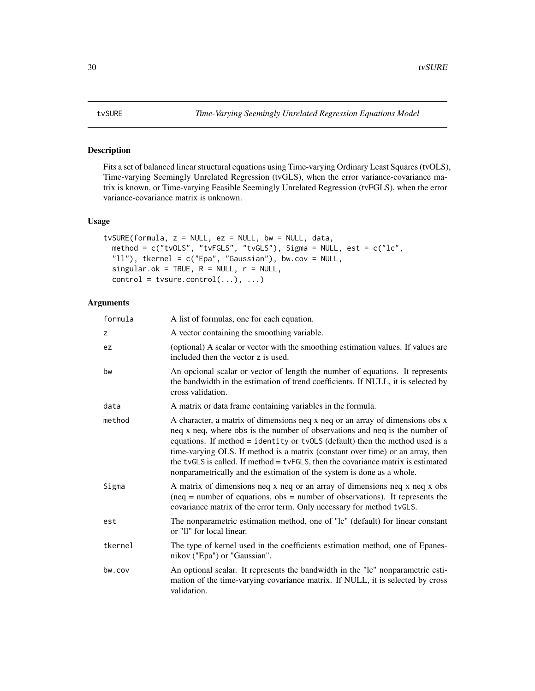# <span id="page-29-1"></span><span id="page-29-0"></span>Description

Fits a set of balanced linear structural equations using Time-varying Ordinary Least Squares (tvOLS), Time-varying Seemingly Unrelated Regression (tvGLS), when the error variance-covariance matrix is known, or Time-varying Feasible Seemingly Unrelated Regression (tvFGLS), when the error variance-covariance matrix is unknown.

# Usage

```
tvSURE(formula, z = NULL, ez = NULL, bw = NULL, data,
 method = c("tvOLS", "tvFGLS", "tvGLS"), Sigma = NULL, est = c("lc",
  "11"), tkernel = c("Epa", "Gaussian"), bw.cov = NULL,
 singular.ok = TRUE, R = NULL, r = NULL,control = tvsure.contrib(...), ...)
```
# Arguments

| formula | A list of formulas, one for each equation.                                                                                                                                                                                                                                                                                                                                                                                                                                                     |
|---------|------------------------------------------------------------------------------------------------------------------------------------------------------------------------------------------------------------------------------------------------------------------------------------------------------------------------------------------------------------------------------------------------------------------------------------------------------------------------------------------------|
| Z       | A vector containing the smoothing variable.                                                                                                                                                                                                                                                                                                                                                                                                                                                    |
| ez      | (optional) A scalar or vector with the smoothing estimation values. If values are<br>included then the vector z is used.                                                                                                                                                                                                                                                                                                                                                                       |
| bw      | An opcional scalar or vector of length the number of equations. It represents<br>the bandwidth in the estimation of trend coefficients. If NULL, it is selected by<br>cross validation.                                                                                                                                                                                                                                                                                                        |
| data    | A matrix or data frame containing variables in the formula.                                                                                                                                                                                                                                                                                                                                                                                                                                    |
| method  | A character, a matrix of dimensions neq x neq or an array of dimensions obs x<br>neq x neq, where obs is the number of observations and neq is the number of<br>equations. If method $=$ identity or tvOLS (default) then the method used is a<br>time-varying OLS. If method is a matrix (constant over time) or an array, then<br>the tvGLS is called. If method = tvFGLS, then the covariance matrix is estimated<br>nonparametrically and the estimation of the system is done as a whole. |
| Sigma   | A matrix of dimensions neq x neq or an array of dimensions neq x neq x obs<br>$(neq = number of equations, obs = number of observations).$ It represents the<br>covariance matrix of the error term. Only necessary for method tvGLS.                                                                                                                                                                                                                                                          |
| est     | The nonparametric estimation method, one of "lc" (default) for linear constant<br>or "Il" for local linear.                                                                                                                                                                                                                                                                                                                                                                                    |
| tkernel | The type of kernel used in the coefficients estimation method, one of Epanes-<br>nikov ("Epa") or "Gaussian".                                                                                                                                                                                                                                                                                                                                                                                  |
| bw.cov  | An optional scalar. It represents the bandwidth in the "lc" nonparametric esti-<br>mation of the time-varying covariance matrix. If NULL, it is selected by cross<br>validation.                                                                                                                                                                                                                                                                                                               |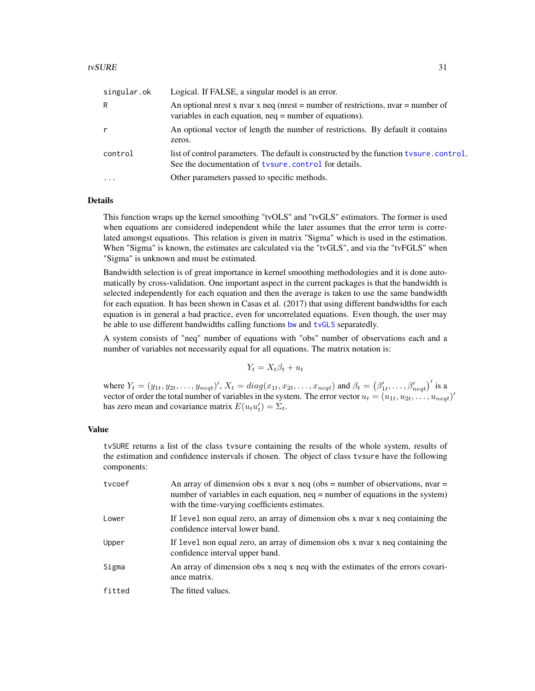<span id="page-30-0"></span>

| singular.ok | Logical. If FALSE, a singular model is an error.                                                                                               |
|-------------|------------------------------------------------------------------------------------------------------------------------------------------------|
| R           | An optional nest x nvar x neq (nest = number of restrictions, nvar = number of<br>variables in each equation, $neq =$ number of equations).    |
| r           | An optional vector of length the number of restrictions. By default it contains<br>zeros.                                                      |
| control     | list of control parameters. The default is constructed by the function tysure.control.<br>See the documentation of tysure.control for details. |
| $\cdot$     | Other parameters passed to specific methods.                                                                                                   |

# Details

This function wraps up the kernel smoothing "tvOLS" and "tvGLS" estimators. The former is used when equations are considered independent while the later assumes that the error term is correlated amongst equations. This relation is given in matrix "Sigma" which is used in the estimation. When "Sigma" is known, the estimates are calculated via the "tvGLS", and via the "tvFGLS" when "Sigma" is unknown and must be estimated.

Bandwidth selection is of great importance in kernel smoothing methodologies and it is done automatically by cross-validation. One important aspect in the current packages is that the bandwidth is selected independently for each equation and then the average is taken to use the same bandwidth for each equation. It has been shown in Casas et al. (2017) that using different bandwidths for each equation is in general a bad practice, even for uncorrelated equations. Even though, the user may be able to use different bandwidths calling functions by and [tvGLS](#page-20-1) separatedly.

A system consists of "neq" number of equations with "obs" number of observations each and a number of variables not necessarily equal for all equations. The matrix notation is:

$$
Y_t = X_t \beta_t + u_t
$$

where  $Y_t = (y_{1t}, y_{2t}, \dots, y_{neqt})'$ ,  $X_t = diag(x_{1t}, x_{2t}, \dots, x_{neqt})$  and  $\beta_t = (\beta'_{1t}, \dots, \beta'_{neqt})'$  is a vector of order the total number of variables in the system. The error vector  $u_t = (u_{1t}, u_{2t}, \ldots, u_{neqt})'$ has zero mean and covariance matrix  $E(u_t u'_t) = \Sigma_t$ .

#### Value

tvSURE returns a list of the class tvsure containing the results of the whole system, results of the estimation and confidence instervals if chosen. The object of class tvsure have the following components:

| tycoef | An array of dimension obs x nvar x neq (obs = number of observations, nvar =<br>number of variables in each equation, $neq =$ number of equations in the system)<br>with the time-varying coefficients estimates. |
|--------|-------------------------------------------------------------------------------------------------------------------------------------------------------------------------------------------------------------------|
| Lower  | If level non equal zero, an array of dimension obs x nvar x neq containing the<br>confidence interval lower band.                                                                                                 |
| Upper  | If level non equal zero, an array of dimension obs x nvar x neq containing the<br>confidence interval upper band.                                                                                                 |
| Sigma  | An array of dimension obs x neq x neq with the estimates of the errors covari-<br>ance matrix.                                                                                                                    |
| fitted | The fitted values.                                                                                                                                                                                                |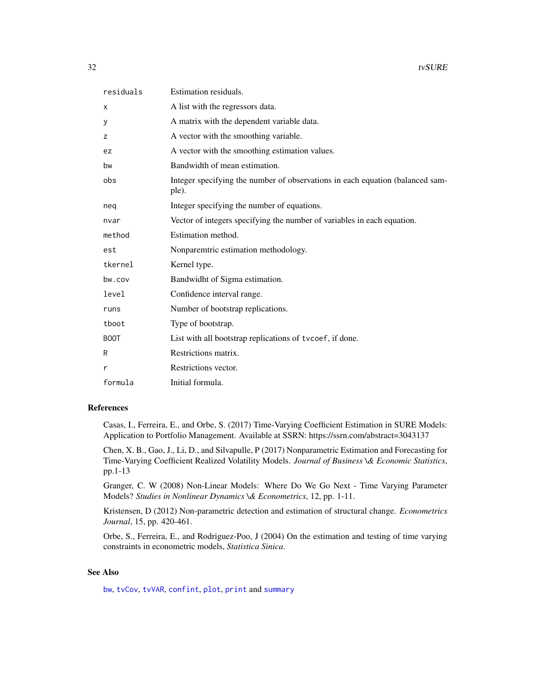<span id="page-31-0"></span>

| residuals | Estimation residuals.                                                                  |
|-----------|----------------------------------------------------------------------------------------|
| X         | A list with the regressors data.                                                       |
| У         | A matrix with the dependent variable data.                                             |
| z         | A vector with the smoothing variable.                                                  |
| ez        | A vector with the smoothing estimation values.                                         |
| bw        | Bandwidth of mean estimation.                                                          |
| obs       | Integer specifying the number of observations in each equation (balanced sam-<br>ple). |
| neg       | Integer specifying the number of equations.                                            |
| nvar      | Vector of integers specifying the number of variables in each equation.                |
| method    | Estimation method.                                                                     |
| est       | Nonparemtric estimation methodology.                                                   |
| tkernel   | Kernel type.                                                                           |
| bw.cov    | Bandwidht of Sigma estimation.                                                         |
| level     | Confidence interval range.                                                             |
| runs      | Number of bootstrap replications.                                                      |
| tboot     | Type of bootstrap.                                                                     |
| BOOT      | List with all bootstrap replications of tvcoef, if done.                               |
| R         | Restrictions matrix.                                                                   |
| r         | Restrictions vector.                                                                   |
| formula   | Initial formula.                                                                       |

# References

Casas, I., Ferreira, E., and Orbe, S. (2017) Time-Varying Coefficient Estimation in SURE Models: Application to Portfolio Management. Available at SSRN: https://ssrn.com/abstract=3043137

Chen, X. B., Gao, J., Li, D., and Silvapulle, P (2017) Nonparametric Estimation and Forecasting for Time-Varying Coefficient Realized Volatility Models. *Journal of Business \& Economic Statistics*, pp.1-13

Granger, C. W (2008) Non-Linear Models: Where Do We Go Next - Time Varying Parameter Models? *Studies in Nonlinear Dynamics \& Econometrics*, 12, pp. 1-11.

Kristensen, D (2012) Non-parametric detection and estimation of structural change. *Econometrics Journal*, 15, pp. 420-461.

Orbe, S., Ferreira, E., and Rodriguez-Poo, J (2004) On the estimation and testing of time varying constraints in econometric models, *Statistica Sinica*.

# See Also

[bw](#page-1-1), [tvCov](#page-19-1), [tvVAR](#page-32-1), [confint](#page-0-0), [plot](#page-0-0), [print](#page-0-0) and [summary](#page-14-1)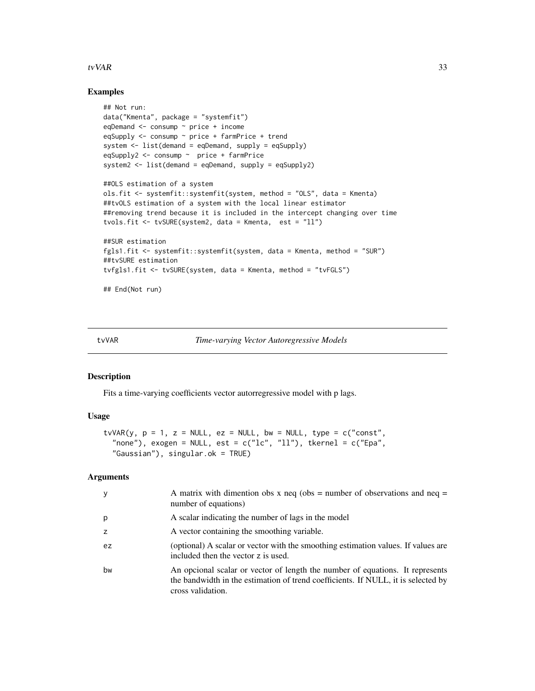#### <span id="page-32-0"></span>tv $VAR$  33

### Examples

```
## Not run:
data("Kmenta", package = "systemfit")
eqDemand \leq consump \sim price + income
eqSupply \leq consump \sim price + farmPrice + trend
system <- list(demand = eqDemand, supply = eqSupply)
eqSupply2 <- consump ~ price + farmPrice
system2 <- list(demand = eqDemand, supply = eqSupply2)
##OLS estimation of a system
ols.fit <- systemfit::systemfit(system, method = "OLS", data = Kmenta)
##tvOLS estimation of a system with the local linear estimator
##removing trend because it is included in the intercept changing over time
tvols.fit <- tvSURE(system2, data = Kmenta, est = "ll")
##SUR estimation
fgls1.fit <- systemfit::systemfit(system, data = Kmenta, method = "SUR")
##tvSURE estimation
tvfgls1.fit <- tvSURE(system, data = Kmenta, method = "tvFGLS")
```
## End(Not run)

<span id="page-32-1"></span>tvVAR *Time-varying Vector Autoregressive Models*

#### Description

Fits a time-varying coefficients vector autorregressive model with p lags.

#### Usage

```
tvVAR(y, p = 1, z = NULL, ez = NULL, bw = NULL, type = c("const",
  "none"), exogen = NULL, est = c("lc", "ll"), tkernel = c("Epa","Gaussian"), singular.ok = TRUE)
```
#### Arguments

| у  | A matrix with dimention obs x neq (obs = number of observations and neq =<br>number of equations)                                                                                       |
|----|-----------------------------------------------------------------------------------------------------------------------------------------------------------------------------------------|
| р  | A scalar indicating the number of lags in the model                                                                                                                                     |
| z  | A vector containing the smoothing variable.                                                                                                                                             |
| ez | (optional) A scalar or vector with the smoothing estimation values. If values are<br>included then the vector z is used.                                                                |
| bw | An opcional scalar or vector of length the number of equations. It represents<br>the bandwidth in the estimation of trend coefficients. If NULL, it is selected by<br>cross validation. |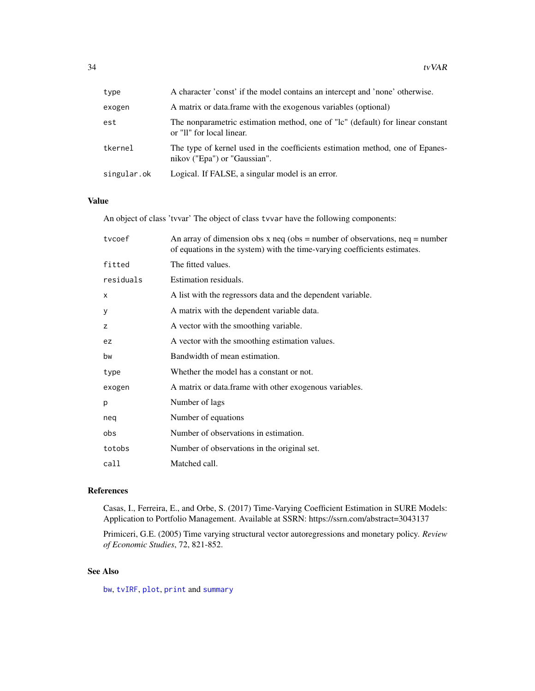<span id="page-33-0"></span>

| type        | A character 'const' if the model contains an intercept and 'none' otherwise.                                  |
|-------------|---------------------------------------------------------------------------------------------------------------|
| exogen      | A matrix or data frame with the exogenous variables (optional)                                                |
| est         | The nonparametric estimation method, one of "lc" (default) for linear constant<br>or "II" for local linear.   |
| tkernel     | The type of kernel used in the coefficients estimation method, one of Epanes-<br>nikov ("Epa") or "Gaussian". |
| singular.ok | Logical. If FALSE, a singular model is an error.                                                              |

#### Value

An object of class 'tvvar' The object of class tvvar have the following components:

| tycoef    | An array of dimension obs x neq (obs = number of observations, neq = number<br>of equations in the system) with the time-varying coefficients estimates. |
|-----------|----------------------------------------------------------------------------------------------------------------------------------------------------------|
| fitted    | The fitted values.                                                                                                                                       |
| residuals | Estimation residuals.                                                                                                                                    |
| X         | A list with the regressors data and the dependent variable.                                                                                              |
| у         | A matrix with the dependent variable data.                                                                                                               |
| z         | A vector with the smoothing variable.                                                                                                                    |
| ez        | A vector with the smoothing estimation values.                                                                                                           |
| bw        | Bandwidth of mean estimation.                                                                                                                            |
| type      | Whether the model has a constant or not.                                                                                                                 |
| exogen    | A matrix or data.frame with other exogenous variables.                                                                                                   |
| p         | Number of lags                                                                                                                                           |
| neq       | Number of equations                                                                                                                                      |
| obs       | Number of observations in estimation.                                                                                                                    |
| totobs    | Number of observations in the original set.                                                                                                              |
| call      | Matched call.                                                                                                                                            |

# References

Casas, I., Ferreira, E., and Orbe, S. (2017) Time-Varying Coefficient Estimation in SURE Models: Application to Portfolio Management. Available at SSRN: https://ssrn.com/abstract=3043137

Primiceri, G.E. (2005) Time varying structural vector autoregressions and monetary policy. *Review of Economic Studies*, 72, 821-852.

# See Also

[bw](#page-1-1), [tvIRF](#page-22-1), [plot](#page-0-0), [print](#page-0-0) and [summary](#page-14-1)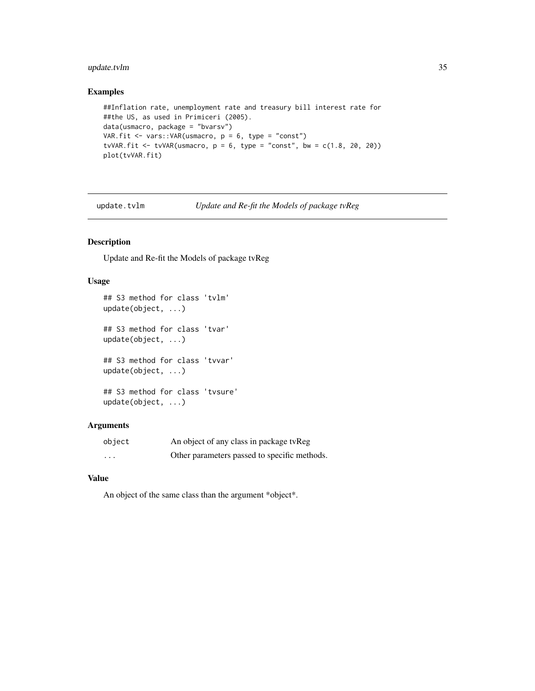# <span id="page-34-0"></span>update.tvlm 35

# Examples

```
##Inflation rate, unemployment rate and treasury bill interest rate for
##the US, as used in Primiceri (2005).
data(usmacro, package = "bvarsv")
VAR.fit <- vars:: VAR(usmacro, p = 6, type = "const")
tvVAR.fit <- tvVAR(usmacro, p = 6, type = "const", bw = c(1.8, 20, 20))
plot(tvVAR.fit)
```
update.tvlm *Update and Re-fit the Models of package tvReg*

#### Description

Update and Re-fit the Models of package tvReg

#### Usage

```
## S3 method for class 'tvlm'
update(object, ...)
## S3 method for class 'tvar'
update(object, ...)
## S3 method for class 'tvvar'
update(object, ...)
## S3 method for class 'tvsure'
update(object, ...)
```
# Arguments

| object   | An object of any class in package tvReg      |
|----------|----------------------------------------------|
| $\cdots$ | Other parameters passed to specific methods. |

#### Value

An object of the same class than the argument \*object\*.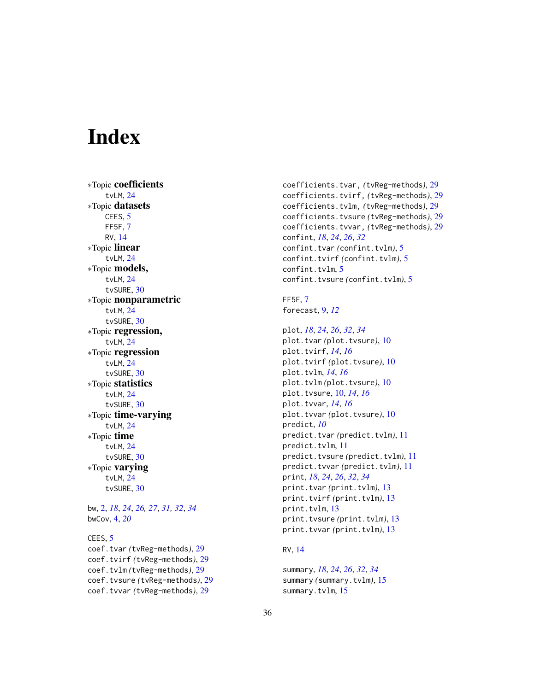# <span id="page-35-0"></span>**Index**

∗Topic coefficients tvLM, [24](#page-23-0) ∗Topic datasets CEES, [5](#page-4-0) FF5F, [7](#page-6-0) RV, [14](#page-13-0) ∗Topic linear tvLM, [24](#page-23-0) ∗Topic models, tvLM, [24](#page-23-0) tvSURE, [30](#page-29-0) ∗Topic nonparametric tvLM, [24](#page-23-0) tvSURE, [30](#page-29-0) ∗Topic regression, tvLM, [24](#page-23-0) ∗Topic regression tvLM, [24](#page-23-0) tvSURE, [30](#page-29-0) ∗Topic statistics tvLM, [24](#page-23-0) tvSURE, [30](#page-29-0) ∗Topic time-varying tvLM, [24](#page-23-0) ∗Topic time tvLM, [24](#page-23-0) tvSURE, [30](#page-29-0) ∗Topic varying tvLM, [24](#page-23-0) tvSURE, [30](#page-29-0) bw, [2,](#page-1-0) *[18](#page-17-0)*, *[24](#page-23-0)*, *[26,](#page-25-0) [27](#page-26-0)*, *[31,](#page-30-0) [32](#page-31-0)*, *[34](#page-33-0)* bwCov, [4,](#page-3-0) *[20](#page-19-0)* CEES, [5](#page-4-0) coef.tvar *(*tvReg-methods*)*, [29](#page-28-0) coef.tvirf *(*tvReg-methods*)*, [29](#page-28-0)

coef.tvlm *(*tvReg-methods*)*, [29](#page-28-0) coef.tvsure *(*tvReg-methods*)*, [29](#page-28-0) coef.tvvar *(*tvReg-methods*)*, [29](#page-28-0)

coefficients.tvar, *(*tvReg-methods*)*, [29](#page-28-0) coefficients.tvirf, *(*tvReg-methods*)*, [29](#page-28-0) coefficients.tvlm, *(*tvReg-methods*)*, [29](#page-28-0) coefficients.tvsure *(*tvReg-methods*)*, [29](#page-28-0) coefficients.tvvar, *(*tvReg-methods*)*, [29](#page-28-0) confint, *[18](#page-17-0)*, *[24](#page-23-0)*, *[26](#page-25-0)*, *[32](#page-31-0)* confint.tvar *(*confint.tvlm*)*, [5](#page-4-0) confint.tvirf *(*confint.tvlm*)*, [5](#page-4-0) confint.tvlm, [5](#page-4-0) confint.tvsure *(*confint.tvlm*)*, [5](#page-4-0)

FF5F, [7](#page-6-0) forecast, [9,](#page-8-0) *[12](#page-11-0)*

```
plot, 18, 24, 26, 32, 34
plot.tvar (plot.tvsure), 10
plot.tvirf, 14, 16
plot.tvirf (plot.tvsure), 10
plot.tvlm, 14, 16
plot.tvlm (plot.tvsure), 10
plot.tvsure, 10, 14, 16
plot.tvvar, 14, 16
plot.tvvar (plot.tvsure), 10
predict, 10
predict.tvar (predict.tvlm), 11
predict.tvlm, 11
predict.tvsure (predict.tvlm), 11
predict.tvvar (predict.tvlm), 11
print, 18, 24, 26, 32, 34
print.tvar (print.tvlm), 13
print.tvirf (print.tvlm), 13
print.tvlm, 13
print.tvsure (print.tvlm), 13
print.tvvar (print.tvlm), 13
```
# RV, [14](#page-13-0)

summary, *[18](#page-17-0)*, *[24](#page-23-0)*, *[26](#page-25-0)*, *[32](#page-31-0)*, *[34](#page-33-0)* summary *(*summary.tvlm*)*, [15](#page-14-0) summary.tvlm, [15](#page-14-0)